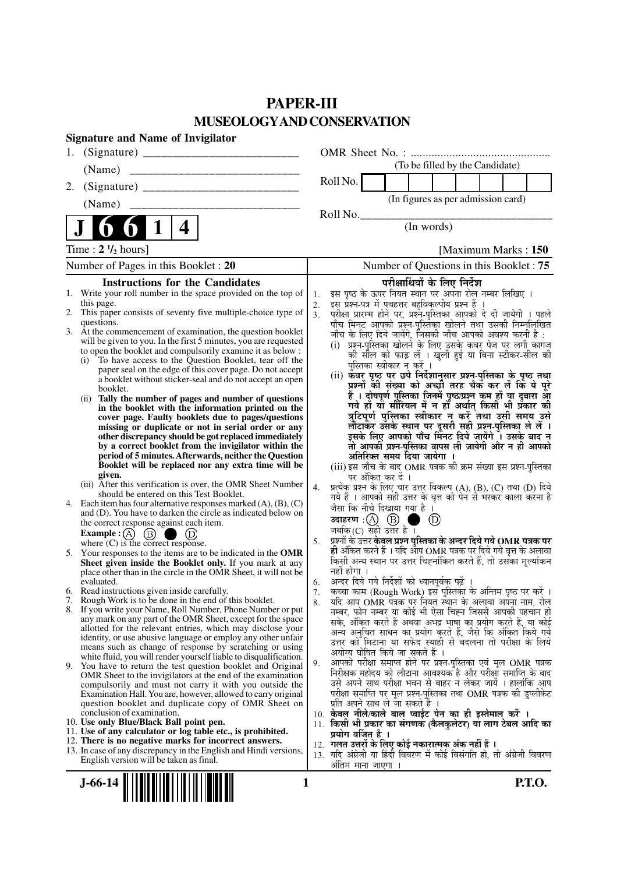# **PAPER-III MUSEOLOGYAND CONSERVATION**

|    | <b>Signature and Name of Invigilator</b>                                                                                 |                |                                                                                                                                  |
|----|--------------------------------------------------------------------------------------------------------------------------|----------------|----------------------------------------------------------------------------------------------------------------------------------|
| 1. |                                                                                                                          |                |                                                                                                                                  |
|    | (Name)                                                                                                                   |                | (To be filled by the Candidate)                                                                                                  |
| 2. |                                                                                                                          |                | Roll No.                                                                                                                         |
|    | (Name)                                                                                                                   |                | (In figures as per admission card)                                                                                               |
|    |                                                                                                                          |                | Roll No.                                                                                                                         |
|    | 4                                                                                                                        |                | (In words)                                                                                                                       |
|    | Time : $2 \frac{1}{2}$ hours]                                                                                            |                | [Maximum Marks: 150]                                                                                                             |
|    | Number of Pages in this Booklet: 20                                                                                      |                | Number of Questions in this Booklet: 75                                                                                          |
|    | <b>Instructions for the Candidates</b>                                                                                   |                | परीक्षार्थियों के लिए निर्देश                                                                                                    |
|    | 1. Write your roll number in the space provided on the top of                                                            | 1.             | इस पृष्ठ के ऊपर नियत स्थान पर अपना रोल नम्बर लिखिए ।                                                                             |
|    | this page.<br>2. This paper consists of seventy five multiple-choice type of                                             | 2.             | इस् प्रश्न-पत्र में पुचहत्तर बहुविकल्पीय प्रश्न हैं ।                                                                            |
|    | questions.                                                                                                               | 3 <sub>1</sub> | परीक्षा प्रारम्भ होने पर, प्रश्नॅं-पुस्तिका आपको दे दी जायेगी । पहले<br>पाँच मिनट आपको प्रश्न-पुस्तिका खोलने तथा उसकी निम्नलिखित |
|    | 3. At the commencement of examination, the question booklet                                                              |                | जाँच के लिए दिये जायेंगे, जिसकी जाँच आपको अवश्य करनी है :                                                                        |
|    | will be given to you. In the first 5 minutes, you are requested                                                          |                | (i)  प्रश्न-पुस्तिका खोलने के लिए उसके कवर पेज पर लगी कागज                                                                       |
|    | to open the booklet and compulsorily examine it as below :                                                               |                | को सील को फाड़ लें । खुली हुई या बिना स्टीकर-सील की                                                                              |
|    | (i) To have access to the Question Booklet, tear off the<br>paper seal on the edge of this cover page. Do not accept     |                | पुस्तिका स्वीकार न करें ।                                                                                                        |
|    | a booklet without sticker-seal and do not accept an open                                                                 |                | (ii) कँवर पृष्ठ पर छपे निर्देशानुसार प्रश्न-पुस्तिका के पृष्ठ तथा<br>प्रश्नों की संख्या को अच्छी तरह चैक कर लें कि ये पूरे       |
|    | booklet.                                                                                                                 |                | हैं । दोषपूर्ण पुस्तिका जिनमें पृष्ठ/प्रश्न कम हों या दुबारा आ                                                                   |
|    | Tally the number of pages and number of questions<br>(i)<br>in the booklet with the information printed on the           |                | गये हों यो सीरियल में न हों अर्थात् किसी भी प्रँकार की                                                                           |
|    | cover page. Faulty booklets due to pages/questions                                                                       |                | त्रुटिपूर्ण पुस्तिका स्वीकार न करें तथा उसी समय उसे                                                                              |
|    | missing or duplicate or not in serial order or any                                                                       |                | लौटाकर उसके स्थान पर दूसरी सही प्रश्न-पुस्तिका ले लें ।                                                                          |
|    | other discrepancy should be got replaced immediately                                                                     |                | इसके लिए आपको पाँच मिंनट दिये जायेंगे ँ। उसके बाद न                                                                              |
|    | by a correct booklet from the invigilator within the<br>period of 5 minutes. Afterwards, neither the Question            |                | तो आपकी प्रश्न-पुस्तिका वापस ली जायेगी और न ही आपको<br>अतिरिक्त समय दिया जायेगा ।                                                |
|    | Booklet will be replaced nor any extra time will be                                                                      |                | (iii) इस जाँच के बाद OMR पत्रक की क्रम संख्या इस प्रश्न-पुस्तिका                                                                 |
|    | given.                                                                                                                   |                | पर अंकित कर दें ।                                                                                                                |
|    | (iii) After this verification is over, the OMR Sheet Number                                                              | 4.             | प्रत्येक प्रश्न के लिए चार उत्तर विकल्प (A), (B), (C) तथा (D) दिये                                                               |
|    | should be entered on this Test Booklet.<br>4. Each item has four alternative responses marked $(A)$ , $(B)$ , $(C)$      |                | गये हैं । आपको सही उत्तर के वृत्त को पेन से भरकर काला करना है                                                                    |
|    | and (D). You have to darken the circle as indicated below on                                                             |                | जैसा कि नीचे दिखाया गया है।                                                                                                      |
|    | the correct response against each item.                                                                                  |                | <b>उदाहरण</b> : $\bigoplus$ $\bigoplus$ च<br>जबकि (C) सही उत्तर है ।<br>$\circled{D}$                                            |
|    | <b>Example :</b> $\overline{A}$ $\overline{B}$ $\overline{D}$ $\overline{D}$<br>where (C) is the correct response.       | 5.             | प्रश्नों के उत्तर <b>केवल प्रश्न पुस्तिका के अन्दर दिये गये OMR पत्रक पर</b>                                                     |
|    |                                                                                                                          |                | ही अंकित करने हैं । यदि आप OMR पत्रक पर दिये गये वृत्त के अलावा                                                                  |
|    | 5. Your responses to the items are to be indicated in the OMR<br>Sheet given inside the Booklet only. If you mark at any |                | किसी अन्य स्थान पर उत्तर चिह्नांकित करते हैं, तो उसका मूल्यांकन                                                                  |
|    | place other than in the circle in the OMR Sheet, it will not be                                                          |                | नहीं होगा ।                                                                                                                      |
|    | evaluated.                                                                                                               | 6.             | अन्दर दिये गये निर्देशों को ध्यानपूर्वक पढ़ें ।                                                                                  |
|    | 6. Read instructions given inside carefully.<br>7. Rough Work is to be done in the end of this booklet.                  | 7.             | कच्चा काम (Rough Work) इस पुस्तिका के अन्तिम पृष्ठ पर करें ।                                                                     |
|    | 8. If you write your Name, Roll Number, Phone Number or put                                                              | 8.             | र्याद आप OMR पत्रक पर नियत स्थान के अलावा अपना नाम, रोल<br>नम्बर, फोन नम्बर या कोई भी ऐसा चिह्न जिससे आपकी पहचान हो              |
|    | any mark on any part of the OMR Sheet, except for the space                                                              |                | सके, अंकित करते हैं अथवा अभद्र भाषा का प्रयोग करते हैं, या कोई                                                                   |
|    | allotted for the relevant entries, which may disclose your                                                               |                | अन्य अनुचित साधन का प्रयोग करते हैं, जैसे कि अंकित किये गये                                                                      |
|    | identity, or use abusive language or employ any other unfair<br>means such as change of response by scratching or using  |                | उत्तर को मिटाना या सफेद स्याही से बदलना तो परीक्षा के लिये                                                                       |
|    | white fluid, you will render yourself liable to disqualification.                                                        |                | अयोग्य घोषित किये जा सकते हैं ।                                                                                                  |
|    | 9. You have to return the test question booklet and Original                                                             | 9.             | आपको परीक्षा समाप्त होने पर प्रश्न-पुस्तिका एवं मूल OMR पत्रक                                                                    |
|    | OMR Sheet to the invigilators at the end of the examination                                                              |                | निरीक्षक महोदय को लौटाना आवश्यक है और परीक्षा समाप्ति के बाद<br>उसे अपने साथ परीक्षा भवन से बाहर न लेकर जायें । हालांकि आप       |
|    | compulsorily and must not carry it with you outside the<br>Examination Hall. You are, however, allowed to carry original |                | परीक्षा समाप्ति पर मूल प्रश्न-पुस्तिका तथा OMR पत्रक की डुप्लीकेट                                                                |
|    | question booklet and duplicate copy of OMR Sheet on                                                                      |                | प्रति अपने साथ ले जा सकते हैं ।                                                                                                  |
|    | conclusion of examination.                                                                                               |                | 10. केवल नीले/काले बाल प्वाईंट पेन का ही इस्तेमाल करें ।                                                                         |
|    | 10. Use only Blue/Black Ball point pen.<br>11. Use of any calculator or log table etc., is prohibited.                   |                | 11. किसी भी प्रकार का संगणक (कैलकुलेटर) या लाग टेबल आदि का                                                                       |
|    | 12. There is no negative marks for incorrect answers.                                                                    |                | प्रयोग वर्जित है ।<br>12. गलत उत्तरों के लिए कोई नकारात्मक अंक नहीं हैं ।                                                        |
|    | 13. In case of any discrepancy in the English and Hindi versions,                                                        |                | 13. यदि अंग्रेजी या हिंदी विवरण में कोई विसंगति हो, तो अंग्रेजी विवरण                                                            |
|    | English version will be taken as final.                                                                                  |                | अंतिम माना जाएगा ।                                                                                                               |
|    |                                                                                                                          |                |                                                                                                                                  |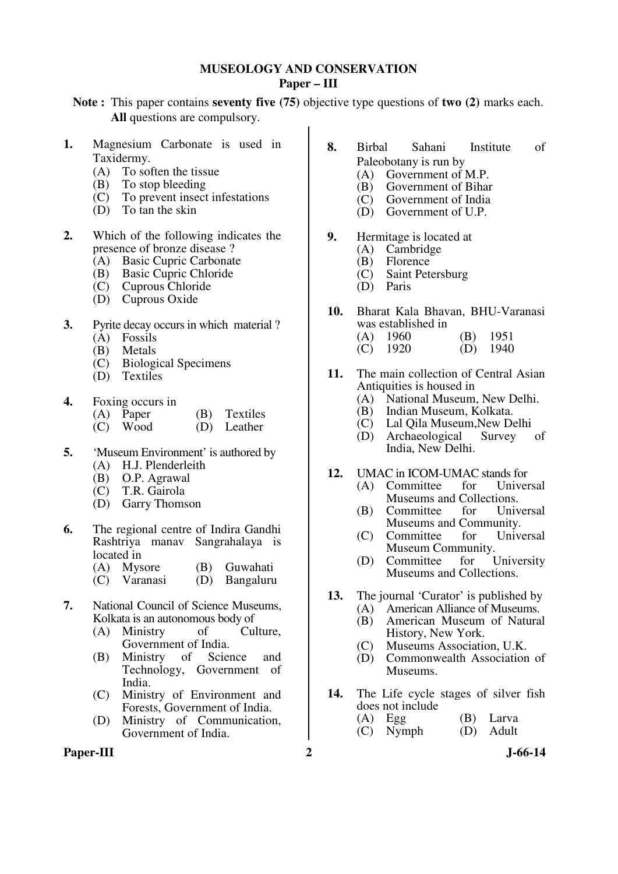## **MUSEOLOGY AND CONSERVATION Paper – III**

**Note :** This paper contains **seventy five (75)** objective type questions of **two (2)** marks each. **All** questions are compulsory.

- **1.** Magnesium Carbonate is used in Taxidermy.
	- (A) To soften the tissue
	-
	- (B) To stop bleeding<br>(C) To prevent insect (C) To prevent insect infestations<br>(D) To tan the skin
	- To tan the skin
- **2.** Which of the following indicates the presence of bronze disease ?
	- (A) Basic Cupric Carbonate
	- (B) Basic Cupric Chloride
	- (C) Cuprous Chloride
	- (D) Cuprous Oxide
- **3.** Pyrite decay occurs in which material ?
	- (A) Fossils
	- (B) Metals
	- (C) Biological Specimens
	- (D) Textiles
- **4.** Foxing occurs in

| (A) Paper  | (B) Textiles |
|------------|--------------|
| $(C)$ Wood | (D) Leather  |

- 
- **5.** 'Museum Environment' is authored by (A) H.J. Plenderleith
	- (B) O.P. Agrawal
	- (C) T.R. Gairola
	- (D) Garry Thomson
- **6.** The regional centre of Indira Gandhi Rashtriya manav Sangrahalaya is located in
	- (A) Mysore (B) Guwahati<br>(C) Varanasi (D) Bangaluru
	- (D) Bangaluru
- **7.** National Council of Science Museums, Kolkata is an autonomous body of
	- (A) Ministry of Culture, Government of India.
	- (B) Ministry of Science and Technology, Government of India.
	- (C) Ministry of Environment and Forests, Government of India.
	- (D) Ministry of Communication, Government of India.

### Paper-III 2 J-66-14

- **8.** Birbal Sahani Institute of Paleobotany is run by
	- (A) Government of M.P.<br>(B) Government of Bihar
	- (B) Government of Bihar<br>(C) Government of India
	- $(C)$  Government of India<br>
	(D) Government of U.P.
	- Government of U.P.
- **9.** Hermitage is located at (A) Cambridge
	- (A) Cambridge<br>(B) Florence
	- $(B)$  Florence<br>  $(C)$  Saint Pete
	- (C) Saint Petersburg
	- Paris
- **10.** Bharat Kala Bhavan, BHU-Varanasi was established in
	- (A) 1960 (B) 1951<br>(C) 1920 (D) 1940  $(D)$  1940
- **11.** The main collection of Central Asian Antiquities is housed in
	- (A) National Museum, New Delhi.
	- (B) Indian Museum, Kolkata.
	- Lal Qila Museum, New Delhi<br>Archaeological Survey of
	- (D) Archaeological India, New Delhi.
- **12.** UMAC in ICOM-UMAC stands for<br>(A) Committee for Universal
	- $(A)$  Committee Museums and Collections.<br>Committee for Universal
	- $(B)$  Committee Museums and Community.<br>Committee for Universal
	- $(C)$  Committee Museum Community.<br>Committee for University
	- $(D)$  Committee Museums and Collections.
- 13. The journal 'Curator' is published by
	- (A) American Alliance of Museums.
		- (B) American Museum of Natural History, New York.
		- (C) Museums Association, U.K.
		- Commonwealth Association of Museums.
- **14.** The Life cycle stages of silver fish does not include<br>(A)  $Egg$ 
	- (B) Larva<br>(D) Adult
	- $(C)$  Nymph
		-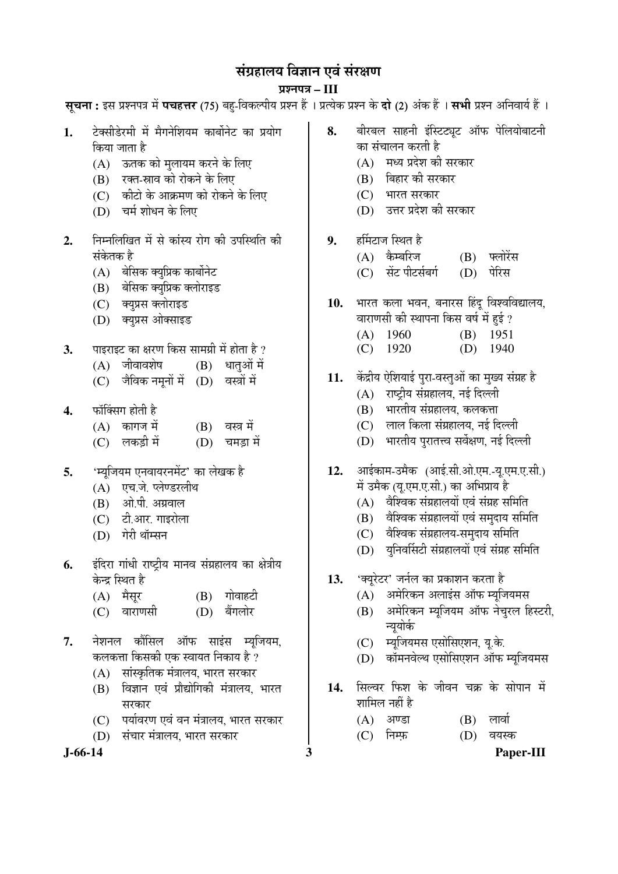# संग्रहालय विज्ञान एवं संरक्षण

# प्रश्नपत्र – III

**सूचना :** इस प्रश्नपत्र में **पचहत्तर** (75) बहु-विकल्पीय प्रश्न हैं । प्रत्येक प्रश्न के **दो** (2) अंक हैं । **सभी** प्रश्न अनिवार्य हैं ।

- 1. टेक्सीडेरमी में मैगनेशियम कार्बोनेट का प्रयोग किया जाता है
	- (A) ऊतक को मुलायम करने के लिए
	- (B) रक्त-स्राव को रोकने के लिए
	- $(C)$  कीटो के आक्रमण को रोकने के लिए
	- (D) चर्म शोधन के लिए
- 2. निम्नलिखित में से कांस्य रोग की उपस्थिति की संकेतक है
	- $(A)$  बेसिक क्यूप्रिक कार्बोनेट
	- (B) बेसिक क्युप्रिक क्लोराइड
	- (C) क्यूप्रस क्लोराइड
	- (D) क्यूप्रस ओक्साइड
- **3.** पाइराइट का क्षरण किस सामग्री में होता है ?
	- $(A)$  जीवावशेष  $(B)$  धातुओं में
	- (C) जैविक नमनों में (D) वस्त्रों में
- 4. फॉक्सिंग होती है
	- $(A)$  कागज में  $(B)$  वस्त्र में
	- (C) लकड़ी में (D) चमड़ा में
- **5.** 'म्युजियम एनवायरनमेंट' का लेखक है
	- (A) एच.जे. प्लेण्डरलीथ
	- $(B)$  ओ.पी. अग्रवाल
	- $(C)$   $\vec{c}$  and  $\vec{c}$  and  $\vec{c}$
	- $(D)$  गेरी थॉम्सन
- 6. इंदिरा गांधी राष्ट्रीय मानव संग्रहालय का क्षेत्रीय केन्द्र स्थित है
	- (A) मैसूर (B) गोवाहटी
	- (C) वाराणसी (D) बैंगलोर
- **7.** नेशनल कौंसिल ऑफ साइंस म्यजियम. कलकत्ता किसकी एक स्वायत निकाय है ?
	- (A) सांस्कृतिक मंत्रालय, भारत सरकार
	- (B) विज्ञान एवं प्रौद्योगिकी मंत्रालय, भारत सरकार
	- (C) पर्यावरण एवं वन मंत्रालय, भारत सरकार
	- (D) संचार मंत्रालय, भारत सरकार

- 8. बीरबल साहनी इंस्टिट्यट ऑफ पेलियोबाटनी का संचालन करती है
	- $(A)$  मध्य प्रदेश की सरकार
	- (B) बिहार की सरकार
	- $(C)$  भारत सरकार
	- (D) उत्तर प्रदेश की सरकार
- 9. हर्मिटाज स्थित है
	- (A) कैम्बरिज (B) फ्लोरेंस
	- (C) सेंट पीटर्सबर्ग (D) पेरिस
- 10. भारत कला भवन, बनारस हिंदू विश्वविद्यालय, वाराणसी की स्थापना किस वर्ष में हई ?
	- (A) 1960 (B) 1951
	- (C) 1920 (D) 1940
- 11. केंद्रीय ऐशियाई पुरा-वस्तुओं का मुख्य संग्रह है
	- $(A)$  राष्टीय संग्रहालय. नई दिल्ली
	- (B) भारतीय संग्रहालय, कलकत्ता
	- (C) लाल किला संग्रहालय, नई दिल्ली
	- (D) भारतीय पुरातत्त्व सर्वेक्षण, नई दिल्ली
- 12. आईकाम-उमैक (आई.सी.ओ.एम.-यू.एम.ए.सी.) में उमैक (यू.एम.ए.सी.) का अभिप्राय है
	- $(A)$  वैश्विक संग्रहालयों एवं संग्रह समिति
	- (B) वैश्विक संग्रहालयों एवं समुदाय समिति
	- (C) वैश्विक संग्रहालय-समुदाय समिति
	- (D) युनिवर्सिटी संग्रहालयों एवं संग्रह समिति
- 13. 'क्यूरेटर' जर्नल का प्रकाशन करता है
	- $(A)$  अमेरिकन अलाइंस ऑफ म्यूजियमस
	- (B) अमेरिकन म्यूजियम ऑफ नेचुरल हिस्टरी, न्युयोर्क
	- (C) म्यूजियमस एसोसिएशन, यू.के.
	- (D) कॉमनवेल्थ एसोसिएशन ऑफ म्युजियमस
- 14. सिल्वर फिश के जीवन चक्र के सोपान में शामिल नहीं है
	- $(A)$  अण्डा  $(B)$  लार्वा
	- (C) निम्फ़ (D) वयस्क

**J-66-14 3 Paper-III**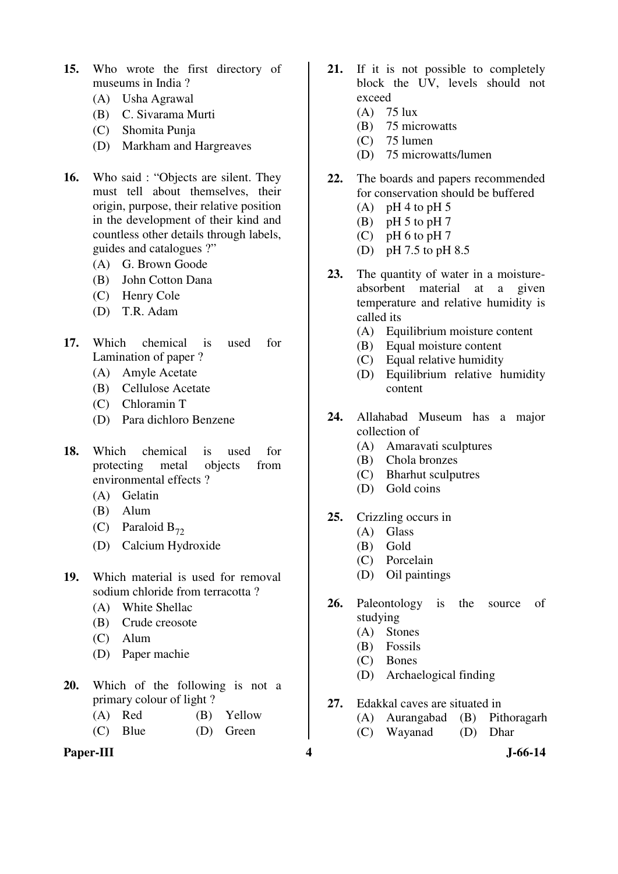- **15.** Who wrote the first directory of museums in India ?
	- (A) Usha Agrawal
	- (B) C. Sivarama Murti
	- (C) Shomita Punja
	- (D) Markham and Hargreaves
- **16.** Who said : "Objects are silent. They must tell about themselves, their origin, purpose, their relative position in the development of their kind and countless other details through labels, guides and catalogues ?"
	- (A) G. Brown Goode
	- (B) John Cotton Dana
	- (C) Henry Cole
	- (D) T.R. Adam
- **17.** Which chemical is used for Lamination of paper ?
	- (A) Amyle Acetate
	- (B) Cellulose Acetate
	- (C) Chloramin T
	- (D) Para dichloro Benzene
- **18.** Which chemical is used for protecting metal objects from environmental effects ?
	- (A) Gelatin
	- (B) Alum
	- (C) Paraloid  $B_{72}$
	- (D) Calcium Hydroxide
- **19.** Which material is used for removal sodium chloride from terracotta ?
	- (A) White Shellac
	- (B) Crude creosote
	- (C) Alum
	- (D) Paper machie
- **20.** Which of the following is not a primary colour of light ?
	- (A) Red (B) Yellow
	- (C) Blue (D) Green

# **Paper-III 4 J-66-14**

- **21.** If it is not possible to completely block the UV, levels should not exceed
	- (A) 75 lux
	- (B) 75 microwatts
	- $(C)$  75 lumen
	- (D) 75 microwatts/lumen
- **22.** The boards and papers recommended for conservation should be buffered
	- $(A)$  pH 4 to pH 5
	- (B) pH  $5$  to pH  $7$
	- $(C)$  pH 6 to pH 7
	- (D) pH 7.5 to pH 8.5
- 23. The quantity of water in a moistureabsorbent material at a given temperature and relative humidity is called its
	- (A) Equilibrium moisture content
	- (B) Equal moisture content
	- (C) Equal relative humidity
	- (D) Equilibrium relative humidity content
- **24.** Allahabad Museum has a major collection of
	- (A) Amaravati sculptures
	- (B) Chola bronzes
	- (C) Bharhut sculputres
	- (D) Gold coins
- **25.** Crizzling occurs in
	- (A) Glass
	- (B) Gold
	- (C) Porcelain
	- (D) Oil paintings
- **26.** Paleontology is the source of studying
	- (A) Stones
	- (B) Fossils
	- (C) Bones
	- (D) Archaelogical finding
- **27.** Edakkal caves are situated in
	- (A) Aurangabad (B) Pithoragarh
	- (C) Wayanad (D) Dhar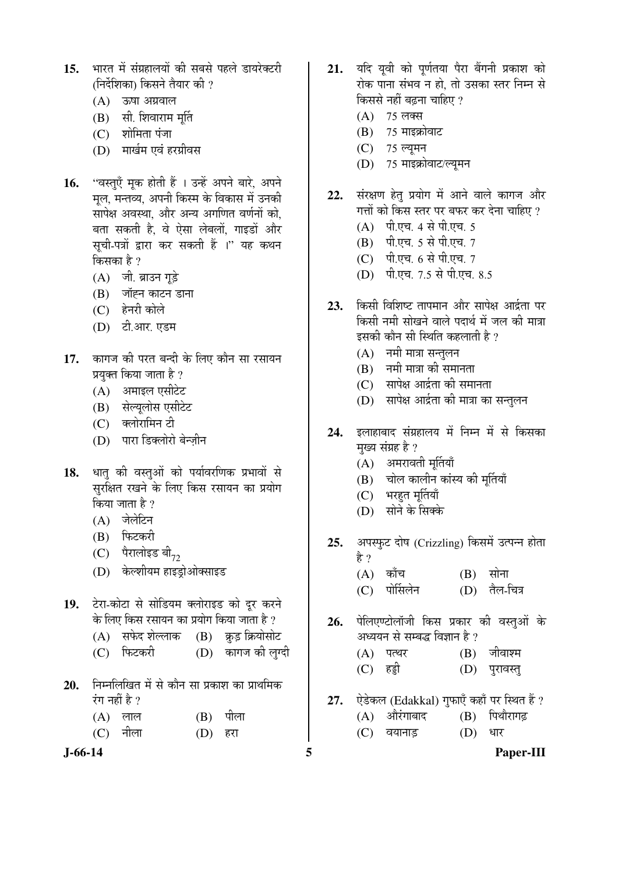- 15. भारत में संग्रहालयों की सबसे पहले डायरेक्टरी (निर्देशिका) किसने तैयार की ?
	- $(A)$  ऊषा अग्रवाल
	- $(B)$  सी. शिवाराम मूर्ति
	- $(C)$  शोमिता पंजा
	- (D) मार्खम एवं हरग्रीवस
- 16. "वस्तुएँ मुक होती हैं । उन्हें अपने बारे, अपने मूल, मन्तव्य, अपनी किस्म के विकास में उनकी सापेक्ष अवस्था. और अन्य अगणित वर्णनों को. बता सकती है, वे ऐसा लेबलों, गाइडों और सुची-पत्रों द्वारा कर सकती हैं ।" यह कथन किसका है ?
	- (A) जी. ब्राउन गूड़े
	- (B) जॉह्न काटन डाना
	- (C) हेनरी कोले
	- (D) टी.आर. एडम
- 17. कागज की परत बन्दी के लिए कौन सा रसायन प्रयुक्त किया जाता है ?
	- (A) अमाइल एसीटेट
	- (B) सेल्यूलोस एसीटेट
	- (C) क्लोरामिन टी
	- (D) पारा डिक्लोरो बेन्जीन
- 18. धातु की वस्तुओं को पर्यावरणिक प्रभावों से सुर्राक्षत रखने के लिए किस रसायन का प्रयोग किया जाता है ?
	- $(A)$  जेलेटिन
	- (B) फिटकरी
	- $(C)$  पैरालोइड बी $_{72}$
	- (D) केल्शीयम हाइडोओक्साइड
- 19. टेरा-कोटा से सोडियम क्लोराइड को दूर करने के लिए किस रसायन का प्रयोग किया जाता है ?
	- (A) सफेद शेल्लाक (B) क्रूड़ क्रियोसोट
	- (C) फिटकरी (D) कागज को लग्दी
- **20.** ×®Ö´®Ö×»Ö×ÜÖŸÖ ´Öë ÃÖê ÛúÖî®Ö ÃÖÖ ¯ÖÏÛúÖ¿Ö ÛúÖ ¯ÖÏÖ£Ö×´ÖÛú रंग नहीं है ?
	- $(A)$  लाल  $(B)$  पीला
	- (C) नीला (D) हरा

- 21. यदि यूवी को पूर्णतया पैरा बैंगनी प्रकाश को रोक पाना संभव न हो. तो उसका स्तर निम्न से किससे नहीं बढना चाहिए ?
	- $(A)$  75 लक्स
	- $(B)$  75 माइक्रोवाट
	- (C) 75 ल्यूमन
	- (D) 75 माइक्रोवाट/ल्यूमन
- 22. संरक्षण हेत् प्रयोग में आने वाले कागज और गत्तों को किस स्तर पर बफर कर देना चाहिए ?
	- (A) पी.एच. 4 से पी.एच. 5
	- (B) पी.एच. 5 से पी.एच. 7
	- $(C)$  पी.एच. 6 से पी.एच. 7
	- (D) पी.एच. 7.5 से पी.एच. 8.5
- 23. किसी विशिष्ट तापमान और सापेक्ष आईता पर किसी नमी सोखने वाले पदार्थ में जल की मात्रा इसकी कौन सी स्थिति कहलाती है ?
	- $(A)$  नमी मात्रा सन्तुलन
	- $(B)$  नमी मात्रा की समानता
	- $(C)$  सापेक्ष आर्द्रता की समानता
	- (D) सापेक्ष आर्द्रता की मात्रा का सन्तुलन
- 24. इलाहाबाद संग्रहालय में निम्न में से किसका मुख्य संग्रह है ?
	- $(A)$  अमरावती मूर्तियाँ
	- (B) चोल कालीन कांस्य की मुर्तियाँ
	- (C) भरहुत मूर्तियाँ
	- (D) सोने के सिक्के
- **25.** अपस्फुट दोष (Crizzling) किसमें उत्पन्न होता हे ?
	- $(A)$  काँच  $(B)$  सोना
	- (C) पोर्सिलेन (D) तैल-चित्र
- 26. पेलिएण्टोलॉजी किस प्रकार की वस्तुओं के अध्ययन से सम्बद्ध विज्ञान है ?
	- $(A)$  पत्थर  $(B)$  जीवाश्म (C) Æüøüß (D) ¯Öã¸üÖ¾ÖßÖã
- 27. ऐडेकल (Edakkal) गुफाएँ कहाँ पर स्थित हैं ?
	- $(A)$  औरंगाबाद  $(B)$  पिथौरागढ़
	- (C) वयानाड़ (D) धार
- **J-66-14 5 Paper-III**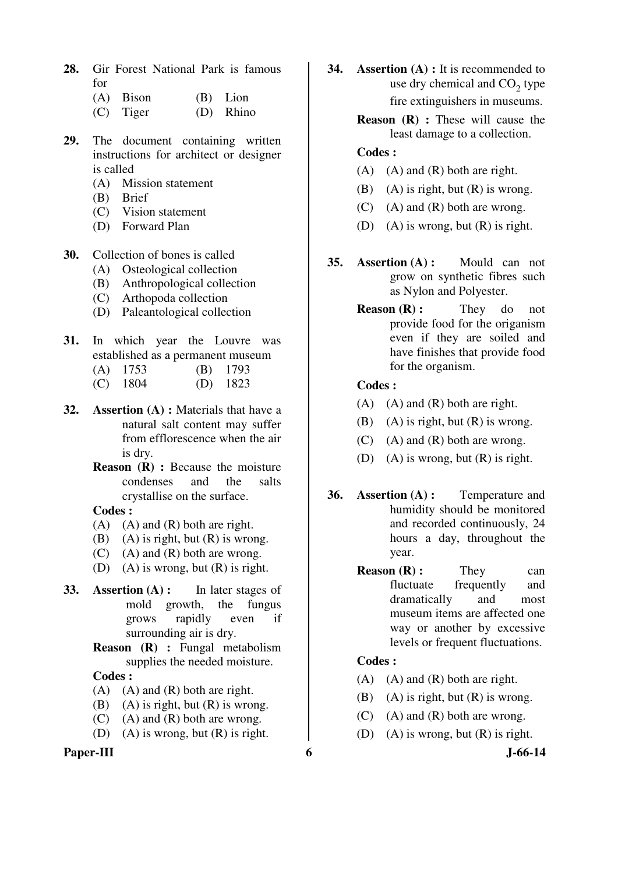- **28.** Gir Forest National Park is famous for
	- (A) Bison (B) Lion (C) Tiger (D) Rhino
- **29.** The document containing written instructions for architect or designer is called
	- (A) Mission statement
	- (B) Brief
	- (C) Vision statement
	- (D) Forward Plan
- **30.** Collection of bones is called
	- (A) Osteological collection
	- (B) Anthropological collection
	- (C) Arthopoda collection
	- (D) Paleantological collection
- **31.** In which year the Louvre was established as a permanent museum
	- (A) 1753 (B) 1793
	- (C) 1804 (D) 1823
- **32. Assertion (A) :** Materials that have a natural salt content may suffer from efflorescence when the air is dry.
	- **Reason (R) : Because the moisture** condenses and the salts crystallise on the surface.
	- **Codes :**
	- $(A)$   $(A)$  and  $(R)$  both are right.
	- (B) (A) is right, but  $(R)$  is wrong.
	- $(C)$  (A) and  $(R)$  both are wrong.
	- (D) (A) is wrong, but  $(R)$  is right.
- **33. Assertion (A) :** In later stages of mold growth, the fungus grows rapidly even if surrounding air is dry.
	- **Reason (R) :** Fungal metabolism supplies the needed moisture.

- $(A)$   $(A)$  and  $(R)$  both are right.
- (B) (A) is right, but  $(R)$  is wrong.
- $(C)$  (A) and  $(R)$  both are wrong.
- (D) (A) is wrong, but (R) is right.

## Paper-III 6 **6** J-66-14

- **34. Assertion (A) :** It is recommended to use dry chemical and  $CO<sub>2</sub>$  type fire extinguishers in museums.
	- **Reason (R) :** These will cause the least damage to a collection.

## **Codes :**

- $(A)$   $(A)$  and  $(R)$  both are right.
- (B) (A) is right, but  $(R)$  is wrong.
- $(C)$  (A) and  $(R)$  both are wrong.
- (D) (A) is wrong, but  $(R)$  is right.
- **35. Assertion (A) :** Mould can not grow on synthetic fibres such as Nylon and Polyester.
	- **Reason (R):** They do not provide food for the origanism even if they are soiled and have finishes that provide food for the organism.

## **Codes :**

- $(A)$   $(A)$  and  $(R)$  both are right.
- (B) (A) is right, but  $(R)$  is wrong.
- $(C)$  (A) and  $(R)$  both are wrong.
- (D) (A) is wrong, but (R) is right.
- **36. Assertion (A) :** Temperature and humidity should be monitored and recorded continuously, 24 hours a day, throughout the year.
	- **Reason (R) :** They can fluctuate frequently and dramatically and most museum items are affected one way or another by excessive levels or frequent fluctuations.

- $(A)$   $(A)$  and  $(R)$  both are right.
- (B) (A) is right, but  $(R)$  is wrong.
- $(C)$  (A) and  $(R)$  both are wrong.
- (D) (A) is wrong, but (R) is right.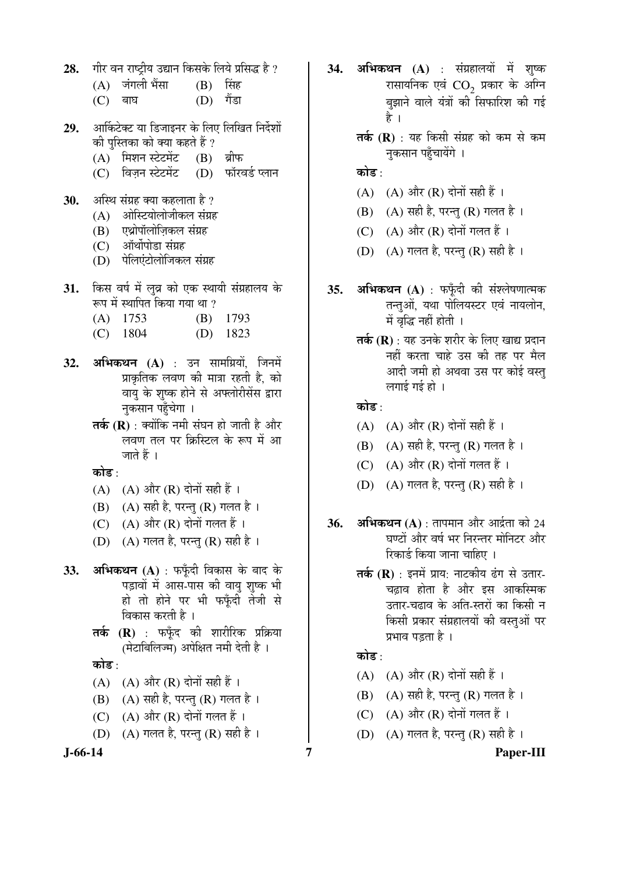28. गीर वन राष्ट्रीय उद्यान किसके लिये प्रसिद्ध है ?

|           | (A) जंगली भेंसा | (B) सिंह    |  |
|-----------|-----------------|-------------|--|
| $(C)$ बाघ |                 | $(D)$ गैंडा |  |

- 29. आर्किटेक्ट या डिजाइनर के लिए लिखित निर्देशों की पुस्तिका को क्या कहते हैं ?
	- (A) मिशन स्टेटमेंट (B) ब्रीफ
	- (C) विज़न स्टेटमेंट (D) फॉरवर्ड प्लान
- **30.** अस्थि संग्रह क्या कहलाता है ?
	- $(A)$  anेस्टियोलोजीकल संग्रह
	- (B) एथ्रोपॉलोजिकल संग्रह
	- $(C)$  ऑर्थोपोडा संग्रह
	- (D) पेलिएंटोलोजिकल संग्रह
- **31.** किस वर्ष में लुव्र को एक स्थायी संग्रहालय के रूप में स्थापित किया गया था ?
	- (A) 1753 (B) 1793
	- (C) 1804 (D) 1823
- **32. अभिकथन (A)** : उन सामग्रियों, जिनमें प्राकृतिक लवण की मात्रा रहती है, को वाय के शुष्क होने से अफ्लोरीसेंस द्वारा नुकसान पहुँचेगा ।
	- **तर्क (R)** : क्योंकि नमी संघन हो जाती है और लवण तल पर क्रिस्टिल के रूप में आ जाते हैं ।

कोड $\cdot$ 

- $(A)$   $(A)$  और  $(R)$  दोनों सही हैं ।
- (B)  $(A)$  सही है, परन्तु (R) गलत है।
- (C)  $(A)$  और  $(R)$  दोनों गलत हैं।
- (D)  $(A)$  गलत है, परन्तु (R) सही है।
- 33. **अभिकथन** (A) : फफूँदी विकास के बाद के पड़ावों में आस-पास की वायु शुष्क भी हो तो होने पर भी फफ़ँदी तेजी से विकास करती है ।
	- **तर्क (R)** : फफँद की शारीरिक प्रक्रिया (मेटाबिलिज्म) अपेक्षित नमी देती है ।

कोड :

- $(A)$   $(A)$  और  $(R)$  दोनों सही हैं।
- $(B)$   $(A)$  सही है, परन्तु  $(R)$  गलत है।
- (C)  $(A)$  और  $(R)$  दोनों गलत हैं।
- (D)  $(A)$  गलत है, परन्तु (R) सही है।

- 34. अभिकथन (A) : संग्रहालयों में शुष्क रासायनिक एवं  $\mathrm{CO}_2^+$  प्रकार के अग्नि बझाने वाले यंत्रों की सिफारिश की गई है ।
	- **तर्क (R)** : यह किसी संग्रह को कम से कम नकसान पहुँचायेंगे ।

# कोड :

- $(A)$   $(A)$  और  $(R)$  दोनों सही हैं।
- (B)  $(A)$  सही है, परन्तु (R) गलत है ।
- (C)  $(A)$  और  $(R)$  दोनों गलत हैं।
- (D)  $(A)$  गलत है, परन्तु (R) सही है।
- **35. अभिकथन (A)** : फफँदी की संश्लेषणात्मक तन्तुओं, यथा पोलियस्टर एवं नायलोन, में वृद्धि नहीं होती ।
	- **तर्क (R)** : यह उनके शरीर के लिए खाद्य प्रदान नहीं करता चाहे उस की तह पर मैल आदी जमी हो अथवा उस पर कोई वस्तु लगाई गई हो $\pm$

# कोड $\cdot$

- $(A)$   $(A)$  और  $(R)$  दोनों सही हैं।
- $(B)$   $(A)$  सही है, परन्तु  $(R)$  गलत है।
- $(C)$   $(A)$  और  $(R)$  दोनों गलत हैं।
- (D)  $(A)$  गलत है, परन्त $(R)$  सही है।
- **36. अभिकथन (A)** : तापमान और आर्द्रता को 24 घण्टों और वर्ष भर निरन्तर मोनिटर और रिकार्ड किया जाना चाहिए ।
	- **तर्क (R)** : इनमें प्राय: नाटकीय ढंग से उतार-चढ़ाव होता है और इस आकस्मिक उतार-चढाव के अति-स्तरों का किसी न किसी प्रकार संग्रहालयों की वस्तुओं पर प्रभाव पड़ता है ।

# कोड  $\cdot$

- (A)  $(A)$  और  $(R)$  दोनों सही हैं।
- (B)  $(A)$  सही है, परन्तु (R) गलत है ।
- (C)  $(A)$  और  $(R)$  दोनों गलत हैं।
- (D)  $(A)$  गलत है, परन्तु (R) सही है।

# **J-66-14 7 Paper-III**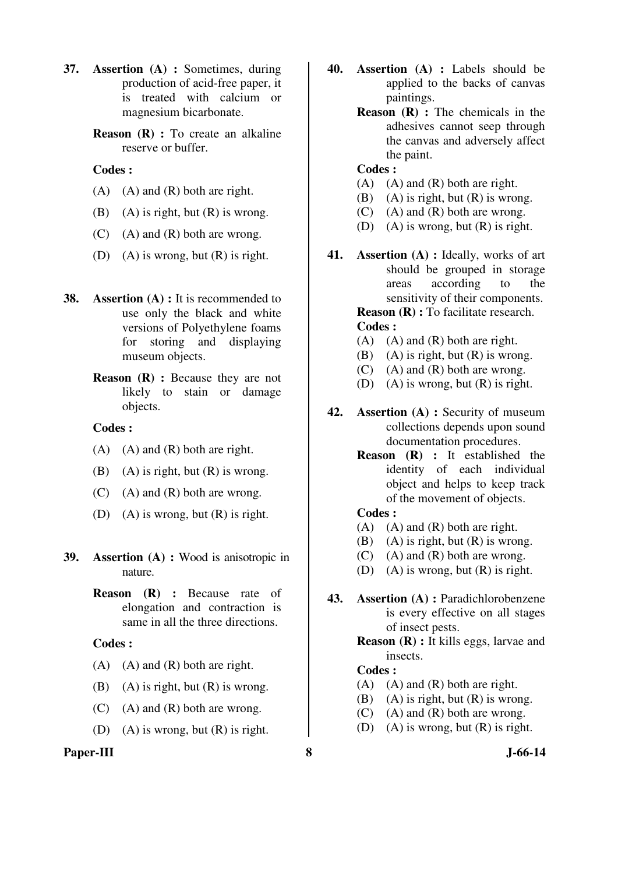- **37. Assertion (A) :** Sometimes, during production of acid-free paper, it is treated with calcium or magnesium bicarbonate.
	- **Reason (R) :** To create an alkaline reserve or buffer.

- $(A)$   $(A)$  and  $(R)$  both are right.
- (B) (A) is right, but  $(R)$  is wrong.
- $(C)$  (A) and  $(R)$  both are wrong.
- (D) (A) is wrong, but  $(R)$  is right.
- **38. Assertion (A) :** It is recommended to use only the black and white versions of Polyethylene foams for storing and displaying museum objects.
	- **Reason** (**R**) : Because they are not likely to stain or damage objects.

## **Codes :**

- $(A)$   $(A)$  and  $(R)$  both are right.
- (B) (A) is right, but  $(R)$  is wrong.
- $(C)$  (A) and  $(R)$  both are wrong.
- (D) (A) is wrong, but (R) is right.
- **39. Assertion (A) :** Wood is anisotropic in nature.
	- **Reason (R) :** Because rate of elongation and contraction is same in all the three directions.

#### **Codes :**

- $(A)$   $(A)$  and  $(R)$  both are right.
- (B) (A) is right, but  $(R)$  is wrong.
- $(C)$  (A) and  $(R)$  both are wrong.
- (D) (A) is wrong, but  $(R)$  is right.

## Paper-III 8 J-66-14

- **40. Assertion (A) :** Labels should be applied to the backs of canvas paintings.
	- **Reason** (**R**) : The chemicals in the adhesives cannot seep through the canvas and adversely affect the paint.

#### **Codes :**

- $(A)$   $(A)$  and  $(R)$  both are right.
- (B) (A) is right, but  $(R)$  is wrong.
- (C) (A) and (R) both are wrong.
- (D) (A) is wrong, but  $(R)$  is right.
- **41. Assertion (A) :** Ideally, works of art should be grouped in storage areas according to the sensitivity of their components.

**Reason (R) : To facilitate research. Codes :** 

- $(A)$   $(A)$  and  $(R)$  both are right.
- (B) (A) is right, but  $(R)$  is wrong.
- $(C)$  (A) and  $(R)$  both are wrong.
- (D) (A) is wrong, but  $(R)$  is right.
- **42. Assertion (A) :** Security of museum collections depends upon sound documentation procedures.
	- **Reason (R) :** It established the identity of each individual object and helps to keep track of the movement of objects.

#### **Codes :**

- $(A)$   $(A)$  and  $(R)$  both are right.
- (B) (A) is right, but  $(R)$  is wrong.
- $(C)$  (A) and  $(R)$  both are wrong.
- (D) (A) is wrong, but (R) is right.
- **43. Assertion (A) :** Paradichlorobenzene is every effective on all stages of insect pests.
	- **Reason (R) :** It kills eggs, larvae and insects.

- $(A)$   $(A)$  and  $(R)$  both are right.
- (B) (A) is right, but  $(R)$  is wrong.
- $(C)$  (A) and  $(R)$  both are wrong.
- (D) (A) is wrong, but (R) is right.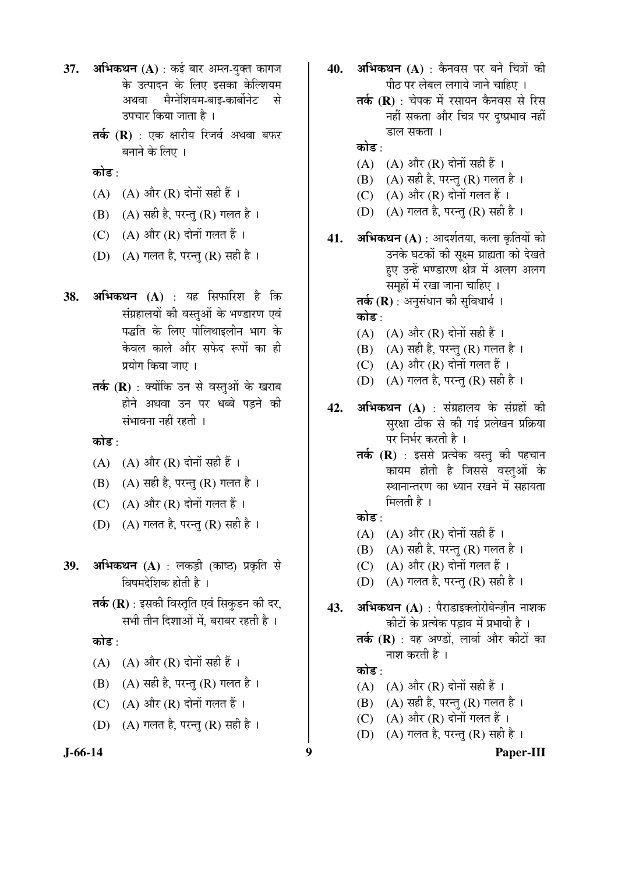- 37. **अभिकथन** (A) : कई बार अम्ल-युक्त कागज के उत्पादन के लिए इसका केल्शियम अथवा मैग्नेशियम-बाइ-कार्बोनेट से उपचार किया जाता है ।
	- **तर्क (R)** : एक क्षारीय रिजर्व अथवा बफर बनाने के लिए ।

कोड़ $\cdot$ 

- $(A)$   $(A)$  और  $(R)$  दोनों सही हैं।
- $(B)$   $(A)$  सही है, परन्तु  $(R)$  गलत है।
- $(C)$   $(A)$  और  $(R)$  दोनों गलत हैं।
- (D)  $(A)$  गलत है, परन्तु (R) सही है।
- **38. अभिकथन (A)** : यह सिफारिश है कि संग्रहालयों की वस्तुओं के भण्डारण एवं पद्धति के लिए पोलिथाइलीन भाग के केवल काले और सफेद रूपों का ही प्रयोग किया जाए ।
	- **तर्क (R)** : क्योंकि उन से वस्तुओं के खराब होने अथवा उन पर धब्बे पडने की संभावना नहीं रहती ।

कोड :

- $(A)$   $(A)$  और  $(R)$  दोनों सही हैं।
- $(B)$   $(A)$  सही है, परन्तु  $(R)$  गलत है।
- (C)  $(A)$  और  $(R)$  दोनों गलत हैं।
- (D)  $(A)$  गलत है, परन्तु (R) सही है।
- **39. अभिकथन (A)** : लकड़ी (काष्ठ) प्रकृति से विषमदेशिक होती है ।
	- **तर्क (R)** : इसकी विस्तृति एवं सिकुडन की दर, सभी तीन दिशाओं में. बराबर रहती है.।

कोड $\cdot$ 

- $(A)$   $(A)$  और  $(R)$  दोनों सही हैं।
- $(B)$   $(A)$  सही है, परन्तु  $(R)$  गलत है।
- (C)  $(A)$  और  $(R)$  दोनों गलत हैं।
- (D)  $(A)$  गलत है, परन्तु (R) सही है ।
- 
- 40. **अभिकथन (A)** : कैनवस पर बने चित्रों की पीठ पर लेबल लगाये जाने चाहिए ।
	- **तर्क (R)** : चेपक में रसायन कैनवस से रिस नहीं सकता और चित्र पर दुष्प्रभाव नहीं डाल सकता ।
	- कोड :
	- $(A)$   $(A)$  और  $(R)$  दोनों सही हैं ।
	- (B) (A) सही है, परन्तु (R) गलत है।
	- $(C)$   $(A)$  और  $(R)$  दोनों गलत हैं।
	- (D)  $(A)$  गलत है, परन्तु (R) सही है।
- **41. अभिकथन (A)** : आदर्शतया, कला कृतियों को उनके घटकों की सूक्ष्म ग्राह्यता को देखते हए उन्हें भण्डारण क्षेत्र में अलग अलग समूहों में रखा जाना चाहिए । **तर्क (R)** : अनुसंधान की सुविधार्थ ।

कोड $\cdot$ 

- $(A)$   $(A)$  और  $(R)$  दोनों सही हैं ।
- $(B)$   $(A)$  सही है, परन्तु  $(R)$  गलत है।
- $(C)$   $(A)$  और  $(R)$  दोनों गलत हैं।
- (D)  $(A)$  गलत है, परन्तु (R) सही है।
- **42. अभिकथन (A)** : संग्रहालय के संग्रहों की सुरक्षा ठीक से की गई प्रलेखन प्रक्रिया पर निर्भर करती है ।
	- तर्क (R) : इससे प्रत्येक वस्तु की पहचान कायम होती है जिससे वस्तुओं के स्थानान्तरण का ध्यान रखने में सहायता मिलती $\hat{\mathbf{z}}$  ।

# कोड :

- (A)  $(A)$  और  $(R)$  दोनों सही हैं।
- (B)  $(A)$  सही है, परन्तु (R) गलत है।
- $(C)$   $(A)$  और  $(R)$  दोनों गलत हैं।
- (D)  $(A)$  गलत है, परन्तु (R) सही है ।
- **43. अभिकथन (A)** : पैराडाइक्लोरोबेन्ज़ीन नाशक कीटों के प्रत्येक पडाव में प्रभावी है ।
	- **तर्क (R)** : यह अण्डों, लार्वा और कीटों का नाश करती है ।

## कोड ·

- (A)  $(A)$  और (R) दोनों सही हैं।
- (B) (A) सही है, परन्तु (R) गलत है।
- (C)  $(A)$  और  $(R)$  दोनों गलत हैं।
- (D) (A) गलत है, परन्तु (R) सही है ।
- 

**J-66-14 9 Paper-III**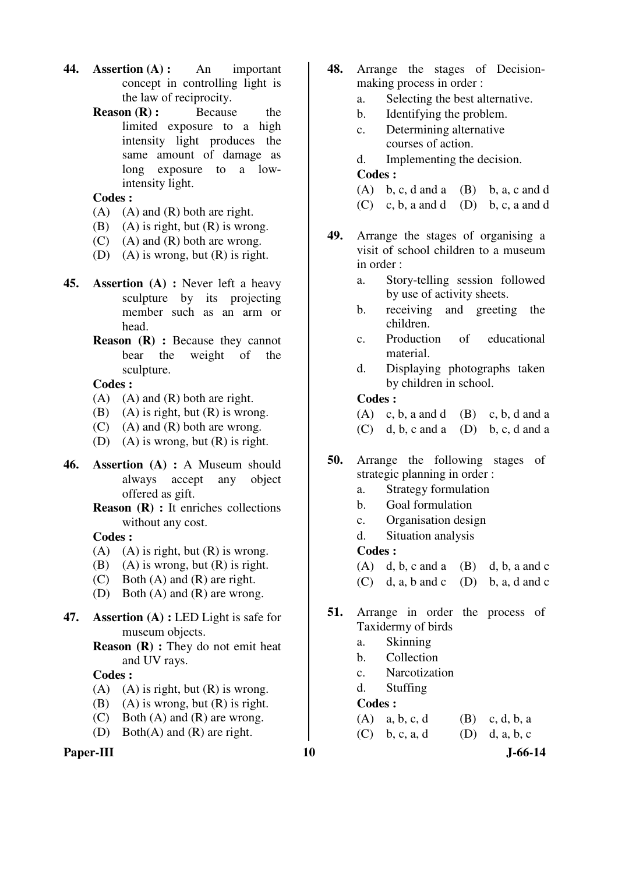- **44. Assertion (A) :** An important concept in controlling light is the law of reciprocity.
	- **Reason (R):** Because the limited exposure to a high intensity light produces the same amount of damage as long exposure to a lowintensity light.

- (A) (A) and (R) both are right.
- (B) (A) is right, but  $(R)$  is wrong.
- $(C)$  (A) and  $(R)$  both are wrong.
- (D) (A) is wrong, but  $(R)$  is right.
- **45. Assertion (A) :** Never left a heavy sculpture by its projecting member such as an arm or head.
	- **Reason (R) :** Because they cannot bear the weight of the sculpture.

## **Codes :**

- $(A)$   $(A)$  and  $(R)$  both are right.
- (B) (A) is right, but  $(R)$  is wrong.
- (C) (A) and (R) both are wrong.
- (D) (A) is wrong, but (R) is right.
- **46. Assertion (A) :** A Museum should always accept any object offered as gift.
	- **Reason (R) :** It enriches collections without any cost.

## **Codes :**

- (A) (A) is right, but  $(R)$  is wrong.
- (B) (A) is wrong, but  $(R)$  is right.
- (C) Both (A) and (R) are right.
- (D) Both (A) and (R) are wrong.
- **47. Assertion (A) :** LED Light is safe for museum objects.
	- **Reason (R) :** They do not emit heat and UV rays.

## **Codes :**

- (A) (A) is right, but  $(R)$  is wrong.
- (B) (A) is wrong, but  $(R)$  is right.
- (C) Both (A) and (R) are wrong.
- (D) Both(A) and (R) are right.

## Paper-III **10** J-66-14

- **48.** Arrange the stages of Decisionmaking process in order :
	- a. Selecting the best alternative.
	- b. Identifying the problem.
	- c. Determining alternative courses of action.
	- d. Implementing the decision.

## **Codes :**

- (A) b, c, d and a (B) b, a, c and d
- $(C)$  c, b, a and d  $(D)$  b, c, a and d
- **49.** Arrange the stages of organising a visit of school children to a museum in order :
	- a. Story-telling session followed by use of activity sheets.
	- b. receiving and greeting the children.
	- c. Production of educational material.
	- d. Displaying photographs taken by children in school.

# **Codes :**

(A) c, b, a and d (B) c, b, d and a

- $(C)$  d, b, c and a  $(D)$  b, c, d and a
- **50.** Arrange the following stages of strategic planning in order :
	- a. Strategy formulation
	- b. Goal formulation
	- c. Organisation design
	- d. Situation analysis

## **Codes :**

- $(A)$  d, b, c and a  $(B)$  d, b, a and c
- $(C)$  d, a, b and c  $(D)$  b, a, d and c
- **51.** Arrange in order the process of Taxidermy of birds
	- a. Skinning
	- b. Collection
	- c. Narcotization
	- d. Stuffing

- (A) a, b, c, d (B) c, d, b, a
- (C) b, c, a, d (D) d, a, b, c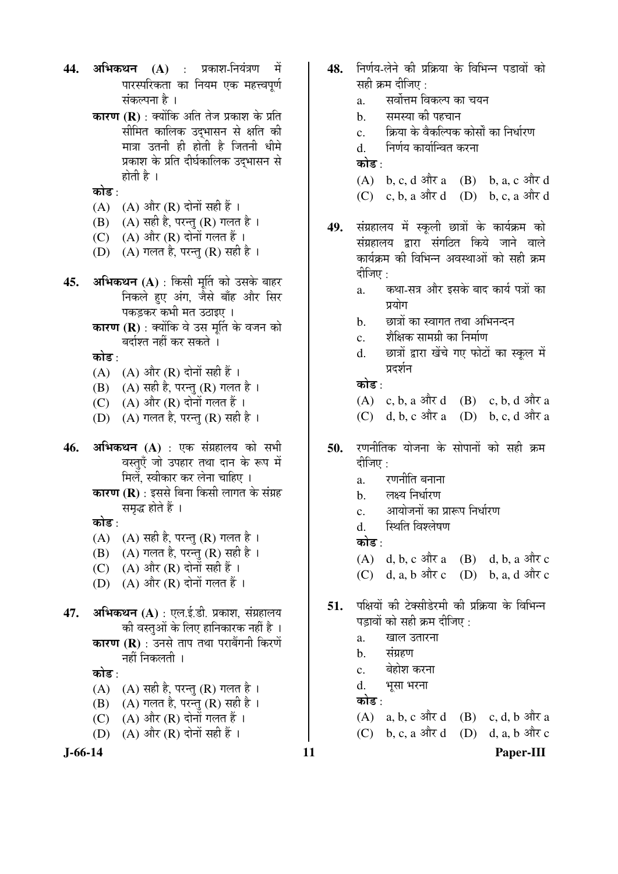- **44. अभिकथन (A)** : प्रकाश-नियंत्रण में पारस्परिकता का नियम एक महत्त्वपूर्ण संकल्पना है ।
	- **कारण (R)** : क्योंकि अति तेज प्रकाश के प्रति सीमित कालिक उदभासन से क्षति की मात्रा उतनी ही होती है जितनी धीमे प्रकाश के प्रति दीर्घकालिक उदभासन से होती है $\perp$
	- कोड $\cdot$
	- (A)  $(A)$  और (R) दोनों सही हैं।
	- (B) (A) सही है, परन्तु (R) गलत है।
	- (C)  $(A)$  और  $(R)$  दोनों गलत हैं।
	- (D)  $(A)$  गलत है, परन्त $(R)$  सही है।
- **45. अभिकथन (A)** : किसी मूर्ति को उसके बाहर निकले हुए अंग, जैसे बाँह और सिर पकड़कर कभी मत उठाइए ।
	- **कारण (R)** : क्योंकि वे उस मर्ति के वजन को बर्दाश्त नहीं कर सकते ।

कोड :

- (A)  $(A)$  और  $(R)$  दोनों सही हैं।
- (B) (A) सही है, परन्तु (R) गलत है।
- $(C)$   $(A)$  और  $(R)$  दोनों गलत हैं।
- (D)  $(A)$  गलत है, परन्तु (R) सही है।
- **46. अभिकथन (A)** : एक संग्रहालय को सभी वस्तुएँ जो उपहार तथा दान के रूप में मिलें. स्वीकार कर लेना चाहिए ।
	- **कारण (R)** : इससे बिना किसी लागत के संग्रह समद्ध होते हैं ।

कोड़ $\cdot$ 

- $(A)$   $(A)$  सही है, परन्तु  $(R)$  गलत है।
- (B)  $(A)$  गलत है, परन्तु (R) सही है।
- (C)  $(A)$  और  $(R)$  दोनों सही हैं।
- $(D)$   $(A)$  और  $(R)$  दोनों गलत हैं।
- **47. अभिकथन (A)** : एल.ई.डी. प्रकाश, संग्रहालय की वस्तुओं के लिए हानिकारक नहीं है । **कारण (R)** : उनसे ताप तथा पराबैंगनी किरणें नहीं निकलती ।

कोड $\cdot$ 

- $(A)$   $(A)$  सही है, परन्तु  $(R)$  गलत है ।
- (B)  $(A)$  गलत है, परन्तु (R) सही है।
- (C)  $(A)$  और  $(R)$  दोनों गलत हैं।
- (D)  $(A)$  और  $(R)$  दोनों सही हैं ।

- 48. निर्णय-लेने की प्रक्रिया के विभिन्न पडावों को सही कम दीजिए $\, \cdot \,$ 
	- a. सर्वोत्तम विकल्प का चयन
	- b. समस्या की पहचान
	- $c_{\rm i}$  and  $\dot{\Phi}$  के वैकल्पिक कोर्सों का निर्धारण
	- d. निर्णय कार्यान्वित करना

कोड ·

- $(A)$  b, c, d और a  $(B)$  b, a, c और d  $(C)$  c, b, a और d  $(D)$  b, c, a और d
- 49. संग्रहालय में स्कूली छात्रों के कार्यक्रम को संग्रहालय द्वारा संगठित किये जाने वाले कार्यक्रम की विभिन्न अवस्थाओं को सही क्रम दीजिए  $\cdot$ 
	- a. कथा-सत्र और इसके बाद कार्य पत्रों का प्रयोग
	- b. छात्रों का स्वागत तथा अभिनन्दन
	- c. शिक्षिक सामग्री का निर्माण
	- d. ยात्रों द्वारा खेंचे गए फोटों का स्कल में प्रदर्शन

कोड :

- $(A)$  c, b, a और d  $(B)$  c, b, d और a
- $(C)$  d, b, c और a  $(D)$  b, c, d और a
- **50.** रणनीतिक योजना के सोपानों को सही क्रम दीजिए $\,\cdot\,$ 
	- $a$ .  $\alpha$  रणनीति बनाना
	- b. लक्ष्य निर्धारण
	- $\rm c.$  ) आयोजनों का प्रारूप निर्धारण
	- d. स्थिति विश्लेषण

कोड़ $\cdot$ 

- $(A)$  d, b, c और a  $(B)$  d, b, a और c  $(C)$  d, a, b  $\frac{d}{dx}c$  (D) b, a, d  $\frac{d}{dx}c$
- 51. पक्षियों की टेक्सीडेरमी की प्रक्रिया के विभिन्न पडावों को सही क्रम दीजिए :
	- a. खाल उतारना
	- b. संग्रहण
	- c. बेहोश करना
	- d. भुसा भरना

कोड :

- $(A)$  a, b, c और d  $(B)$  c, d, b और a
- $(C)$  b, c, a और d  $(D)$  d, a, b और c

**J-66-14 11 Paper-III**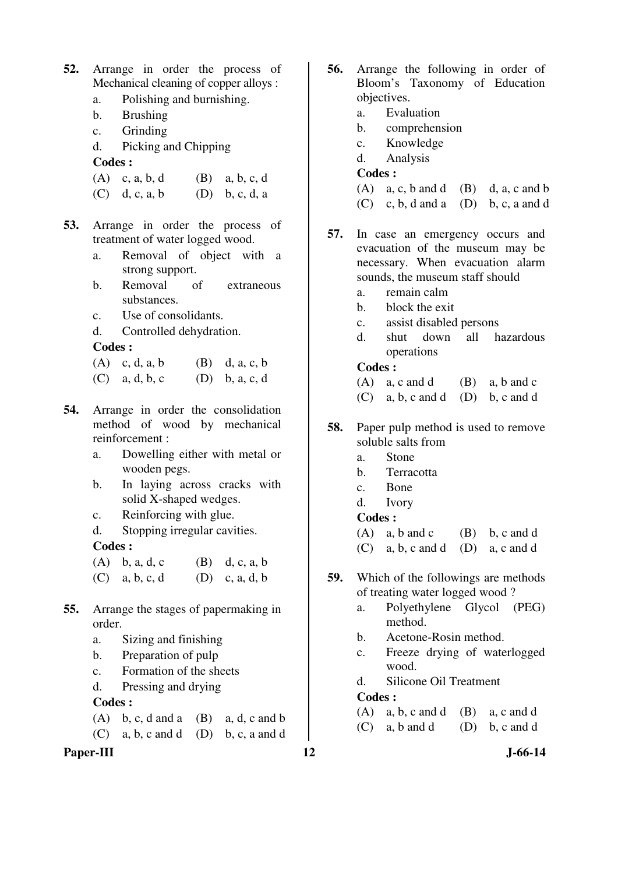- **52.** Arrange in order the process of Mechanical cleaning of copper alloys :
	- a. Polishing and burnishing.
	- b. Brushing
	- c. Grinding
	- d. Picking and Chipping

- (A) c, a, b, d (B) a, b, c, d
- (C) d, c, a, b (D) b, c, d, a
- **53.** Arrange in order the process of treatment of water logged wood.
	- a. Removal of object with a strong support.
	- b. Removal of extraneous substances.
	- c. Use of consolidants.
	- d. Controlled dehydration.

**Codes :** 

- (A) c, d, a, b (B) d, a, c, b
- (C) a, d, b, c (D) b, a, c, d
- **54.** Arrange in order the consolidation method of wood by mechanical reinforcement :
	- a. Dowelling either with metal or wooden pegs.
	- b. In laying across cracks with solid X-shaped wedges.
	- c. Reinforcing with glue.
	- d. Stopping irregular cavities. **Codes :**
	- (A) b, a, d, c (B) d, c, a, b (C) a, b, c, d (D) c, a, d, b
- **55.** Arrange the stages of papermaking in order.
	- a. Sizing and finishing
	- b. Preparation of pulp
	- c. Formation of the sheets
	- d. Pressing and drying

### **Codes :**

- (A) b, c, d and a (B) a, d, c and b
- $(C)$  a, b, c and d  $(D)$  b, c, a and d

# Paper-III **12** J-66-14

- **56.** Arrange the following in order of Bloom's Taxonomy of Education objectives.
	- a. Evaluation
	- b. comprehension
	- c. Knowledge
	- d. Analysis

## **Codes :**

- $(A)$  a, c, b and d  $(B)$  d, a, c and b
- $(C)$  c, b, d and a (D) b, c, a and d
- **57.** In case an emergency occurs and evacuation of the museum may be necessary. When evacuation alarm sounds, the museum staff should
	- a. remain calm
	- b. block the exit
	- c. assist disabled persons
	- d. shut down all hazardous operations

## **Codes :**

- $(A)$  a, c and d  $(B)$  a, b and c
- $(C)$  a, b, c and d  $(D)$  b, c and d
- **58.** Paper pulp method is used to remove soluble salts from
	- a. Stone
	- b. Terracotta
	- c. Bone
	- d. Ivory

### **Codes :**

- (A) a, b and c (B) b, c and d
- (C) a, b, c and d (D) a, c and d
- **59.** Which of the followings are methods of treating water logged wood ?
	- a. Polyethylene Glycol (PEG) method.
	- b. Acetone-Rosin method.
	- c. Freeze drying of waterlogged wood.
	- d. Silicone Oil Treatment

- $(A)$  a, b, c and d  $(B)$  a, c and d
- $(C)$  a, b and d  $(D)$  b, c and d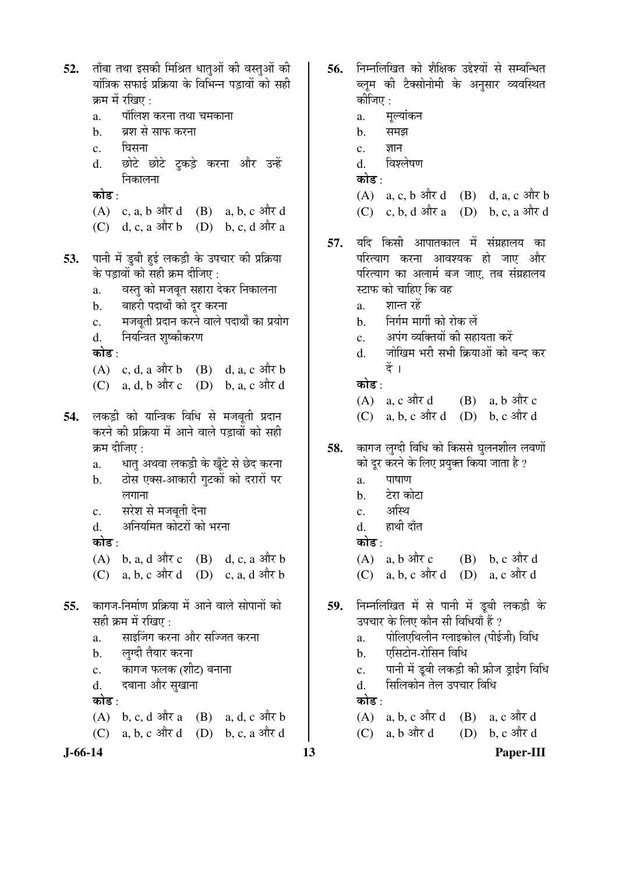ताँबा तथा इसकी मिश्रित धातओं की वस्तओं की  $52.$ यांत्रिक सफाई प्रक्रिया के विभिन्न पडावों को सही क्रम में रखिए : पॉलिश करना तथा चमकाना  $\mathbf{a}$ . ब्रश से साफ करना  $<sub>b</sub>$ </sub> घिसना  $\mathbf{c}$ .  $\mathbf{d}$ . छोटे छोटे टुकड़े करना और उन्हें निकालना कोड :  $(A)$  c, a, b और d  $(B)$  a, b, c और d  $(C)$  d, c, a और b  $(D)$  b, c, d और a पानी में डुबी हुई लकड़ी के उपचार की प्रक्रिया 53. के पड़ावों को सही क्रम दीजिए : वस्त को मजबत सहारा देकर निकालना  $\mathbf{a}$ . बाहरी पदार्थों को दूर करना  $<sub>b</sub>$ </sub> मजबूती प्रदान करने वाले पदार्थों का प्रयोग  $\mathbf{c}$ . नियन्त्रित शृष्कीकरण  $\mathbf{d}$ . कोड :  $(A)$  c, d, a और b  $(B)$  d, a, c और b  $(C)$  a, d, b और c  $(D)$  b, a, c और d लकड़ी को यान्त्रिक विधि से मजबूती प्रदान 54. करने की प्रक्रिया में आने वाले पड़ावों को सही क्रम दीजिए : धात् अथवा लकड़ी के खूँटे से छेद करना  $\mathbf{a}$ . ठोस एक्स-आकारी गटकों को दरारों पर  $\mathbf b$ . लगाना सरेश से मजबती देना  $\mathbf{c}$ . अनियमित कोटरों को भरना  $\mathbf{d}$ . कोड़ $\cdot$ (A) b, a, d और c (B) d, c, a और b (C) a, b, c और d (D) c, a, d और b कागज-निर्माण प्रक्रिया में आने वाले सोपानों को 55. सही कम में रखिए : साइजिंग करना और सज्जित करना  $\mathbf{a}$ . लग्दी तैयार करना  $<sub>b</sub>$ .</sub> कागज फलक (शीट) बनाना  $\mathbf{c}$ . दबाना और सुखाना d. कोड : (A) b, c, d और a (B) a, d, c और b  $(C)$  a, b, c और d  $(D)$  b, c, a और d

56. निम्नलिखित को शैक्षिक उद्देश्यों से सम्बन्धित ब्लुम की टैक्सोनोमी के अनुसार व्यवस्थित कीजिए : मूल्यांकन a.  $<sub>b</sub>$ </sub> समझ ज्ञान  $\mathbf{c}$ .  $\mathbf{d}$ . विश्लेषण कोड⊹  $(A)$  a, c, b और d  $(B)$  d, a, c और b  $(C)$  c, b, d और a  $(D)$  b, c, a और d यदि किसी आपातकाल में संग्रहालय का 57. परित्याग करना आवश्यक हो जाए और परित्याग का अलार्म बज जाए, तब संग्रहालय स्टाफ को चाहिए कि वह शान्त रहें a. निर्गम मार्गी को रोक लें  $\mathbf{b}$ . अपंग व्यक्तियों की सहायता करें  $\mathbf{c}$ . जोखिम भरी सभी क्रियाओं को बन्द कर  $\mathbf{d}$ दें । कोड⊹  $(A)$  a, c और d  $(B)$  a, b और c  $(C)$  a, b, c और d  $(D)$  b, c और d कागज लुग्दी विधि को किससे घुलनशील लवणों 58. को दूर करने के लिए प्रयुक्त किया जाता है ? पाषाण  $\overline{a}$ . टेरा कोटा  $h$ अस्थि  $\mathbf{c}$ . हाथी दाँत  $\mathbf{d}$ . कोड $\cdot$  $(A)$  a, b और c  $(B)$  b. c और d  $(C)$  a, b, c और d  $(D)$  a, c और d निम्नलिखित में से पानी में डूबी लकड़ी के 59. उपचार के लिए कौन सी विधियाँ हैं ? पोलिएथिलीन ग्लाइकोल (पीईजी) विधि a. एसिटोन-रोसिन विधि  $<sub>b</sub>$ </sub> पानी में डूबी लकड़ी की फ्रीज ड्राईंग विधि  $\mathbf{c}$ . सिलिकोन तेल उपचार विधि  $\mathbf{d}$ . कोड :  $(A)$  a, b, c और d (B) a, c और d  $(C)$  a, b और d (D) b, c और d

 $J-66-14$ 

13

Paper-III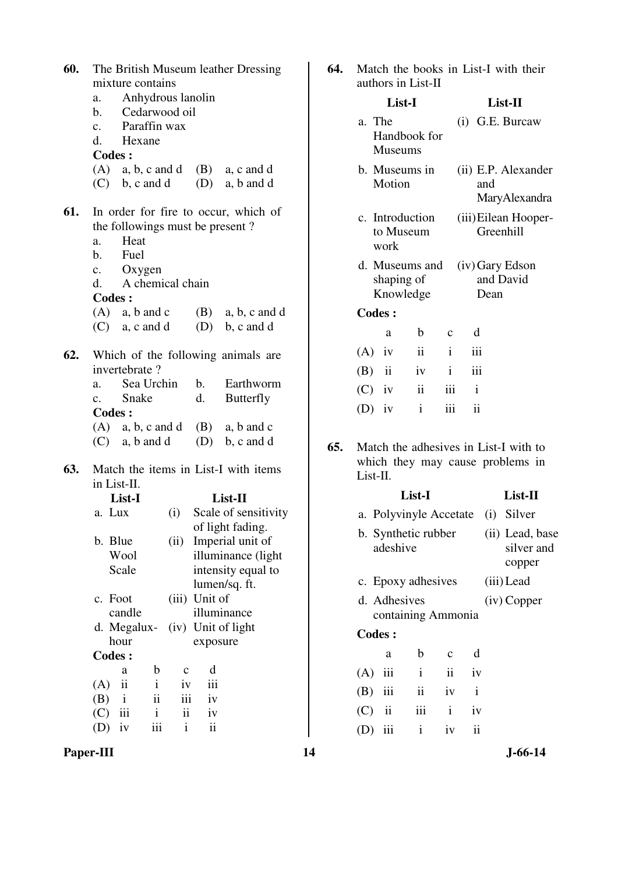| 60. | The British Museum leather Dressing |                      |              |              |                          |                                      |  |  |
|-----|-------------------------------------|----------------------|--------------|--------------|--------------------------|--------------------------------------|--|--|
|     | mixture contains                    |                      |              |              |                          |                                      |  |  |
|     |                                     | a. Anhydrous lanolin |              |              |                          |                                      |  |  |
|     |                                     | b. Cedarwood oil     |              |              |                          |                                      |  |  |
|     |                                     | c. Paraffin wax      |              |              |                          |                                      |  |  |
|     |                                     | d. Hexane            |              |              |                          |                                      |  |  |
|     | <b>Codes:</b>                       |                      |              |              |                          |                                      |  |  |
|     |                                     |                      |              |              |                          | $(A)$ a, b, c and d $(B)$ a, c and d |  |  |
|     |                                     |                      |              |              |                          | $(C)$ b, c and d $(D)$ a, b and d    |  |  |
|     |                                     |                      |              |              |                          |                                      |  |  |
| 61. |                                     |                      |              |              |                          | In order for fire to occur, which of |  |  |
|     |                                     |                      |              |              |                          | the followings must be present?      |  |  |
|     | a.                                  | Heat                 |              |              |                          |                                      |  |  |
|     |                                     | b. Fuel              |              |              |                          |                                      |  |  |
|     |                                     | c. Oxygen            |              |              |                          |                                      |  |  |
|     |                                     | d. A chemical chain  |              |              |                          |                                      |  |  |
|     | <b>Codes:</b>                       |                      |              |              |                          |                                      |  |  |
|     |                                     |                      |              |              |                          | $(A)$ a, b and c $(B)$ a, b, c and d |  |  |
|     |                                     |                      |              |              |                          | $(C)$ a, c and d $(D)$ b, c and d    |  |  |
|     |                                     |                      |              |              |                          |                                      |  |  |
| 62. |                                     |                      |              |              |                          | Which of the following animals are   |  |  |
|     |                                     | invertebrate?        |              |              |                          |                                      |  |  |
|     |                                     | a. Sea Urchin        |              |              |                          | b. Earthworm                         |  |  |
|     |                                     | c. Snake             |              |              | d.                       | <b>Butterfly</b>                     |  |  |
|     | <b>Codes:</b>                       |                      |              |              |                          |                                      |  |  |
|     |                                     |                      |              |              |                          | $(A)$ a, b, c and d $(B)$ a, b and c |  |  |
|     |                                     |                      |              |              |                          | $(C)$ a, b and d $(D)$ b, c and d    |  |  |
|     |                                     |                      |              |              |                          |                                      |  |  |
| 63. |                                     |                      |              |              |                          | Match the items in List-I with items |  |  |
|     | in List-II.                         |                      |              |              |                          |                                      |  |  |
|     |                                     | List-I               |              |              | List-II                  |                                      |  |  |
|     | a. Lux                              |                      |              |              | (i) Scale of sensitivity |                                      |  |  |
|     |                                     |                      |              |              |                          | of light fading.                     |  |  |
|     | b. Blue                             |                      |              | (ii)         |                          | Imperial unit of                     |  |  |
|     |                                     | Wool                 |              |              |                          | illuminance (light                   |  |  |
|     |                                     | Scale                |              |              |                          | intensity equal to                   |  |  |
|     |                                     |                      |              |              | lumen/sq. ft.            |                                      |  |  |
|     | $\mathbf{c}$ .                      | Foot                 |              | (iii)        | Unit of                  |                                      |  |  |
|     |                                     | candle               |              |              |                          | illuminance                          |  |  |
|     | d.                                  | Megalux-             |              | (iv)         |                          | Unit of light                        |  |  |
|     |                                     | hour                 |              |              | exposure                 |                                      |  |  |
|     | <b>Codes:</b>                       |                      |              |              |                          |                                      |  |  |
|     |                                     | a                    | b            | $\mathbf c$  | d                        |                                      |  |  |
|     | (A)                                 | ii                   | $\mathbf{i}$ | iv           | iii                      |                                      |  |  |
|     | (B)                                 | $\mathbf{i}$         | ii           | iii          | iv                       |                                      |  |  |
|     | (C)                                 | iii                  | i            | ii           | iv                       |                                      |  |  |
|     |                                     | iv                   | iii          | $\mathbf{i}$ | $\rm ii$                 |                                      |  |  |
|     | (D)                                 |                      |              |              |                          |                                      |  |  |

| List-I                                          |  | $List-II$ |  |
|-------------------------------------------------|--|-----------|--|
| authors in List-II                              |  |           |  |
| <b>64.</b> Match the books in List-I with their |  |           |  |

|     | a. The        | Handbook for<br><b>Museums</b>            |              |              | $(i)$ G.E. Burcaw                    |  |
|-----|---------------|-------------------------------------------|--------------|--------------|--------------------------------------|--|
|     | Motion        | b. Museums in                             |              | and          | (ii) E.P. Alexander<br>MaryAlexandra |  |
|     | work          | c. Introduction<br>to Museum              |              |              | (iii) Eilean Hooper-<br>Greenhill    |  |
|     |               | d. Museums and<br>shaping of<br>Knowledge |              | Dean         | (iv) Gary Edson<br>and David         |  |
|     | <b>Codes:</b> |                                           |              |              |                                      |  |
|     | a             | b                                         | $\mathbf c$  | d            |                                      |  |
|     | $(A)$ iv      | $\ddot{\rm n}$                            | $\mathbf{i}$ | iii          |                                      |  |
| (B) | ii            | iv                                        | $\mathbf{i}$ | iii          |                                      |  |
|     | $(C)$ iv      | $\mathbf{ii}$                             | iii          | $\mathbf{i}$ |                                      |  |
| (D) | iv            | $\mathbf{i}$                              | iii          | ii           |                                      |  |
|     |               |                                           |              |              |                                      |  |

**65.** Match the adhesives in List-I with to which they may cause problems in List-II.

|     |                                    | List-I       |              |                     |     | List-II                                 |
|-----|------------------------------------|--------------|--------------|---------------------|-----|-----------------------------------------|
|     | a. Polyvinyle Accetate             |              |              |                     | (i) | Silver                                  |
|     | b. Synthetic rubber<br>adeshive    |              |              |                     |     | (ii) Lead, base<br>silver and<br>copper |
|     | c. Epoxy adhesives                 |              |              |                     |     | (iii) Lead                              |
|     | d. Adhesives<br>containing Ammonia |              |              |                     |     | $(iv)$ Copper                           |
|     | <b>Codes:</b>                      |              |              |                     |     |                                         |
|     | a                                  | b            | $\mathbf{c}$ | d                   |     |                                         |
| (A) | iii                                | $\mathbf{i}$ | ii           | iv                  |     |                                         |
| (B) | iii                                | ii           | iv           | $\mathbf{i}$        |     |                                         |
| (C) | $\mathbf{ii}$                      | iii          | $\mathbf{i}$ | iv                  |     |                                         |
| D)  | iii                                | $\mathbf{i}$ | iv           | $\ddot{\mathbf{i}}$ |     |                                         |

**Paper-III 14** J-66-14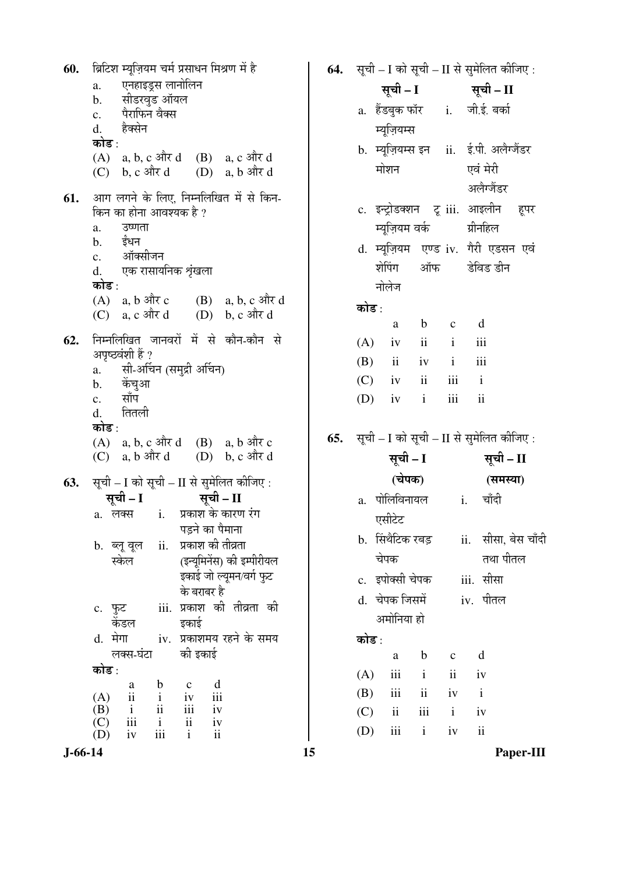ब्रिटिश म्यूज़ियम चर्म प्रसाधन मिश्रण में है 60. एनहाइड्स लानोलिन  $\mathbf{a}$ . सीडरवड ऑयल  $<sub>b</sub>$ </sub> पैराफिन वैक्स  $\mathbf{c}$ . d. हैक्सेन कोड :  $(A)$  a, b, c और d  $(B)$  a, c और d  $(C)$  b, c और d  $(D)$  a,  $b$  और d आग लगने के लिए, निम्नलिखित में से किन-61. किन का होना आवश्यक है ? उष्णता a. ईंधन  $\mathbf{b}$ . ऑक्सीजन  $\mathbf{c}$ . एक रासायनिक श्रृंखला  $d.$ कोड :  $(A)$  a, b और c  $(B)$  a, b, c और d  $(C)$  a, c और d  $(D)$  b, c और d निम्नलिखित जानवरों में से कौन-कौन से 62. अपृष्ठवंशी हैं ? सी-अर्चिन (समुद्री अर्चिन)  $\mathbf{a}$ . केंचआ  $<sub>b</sub>$ </sub> साँप  $\mathbf{c}$ . तितली d. कोड $\cdot$  $(A)$  a, b, c और d  $(B)$  a, b और c (D)  $b, c$  और d  $(C)$  a, b और d सूची - I को सूची - II से सुमेलित कीजिए : 63. सूची - I सूची – II a. लक्स  $i$ . प्रकाश के कारण रंग पड़ने का पैमाना ii. प्रकाश की तीव्रता b. ब्लू वूल (इन्यूमिनेंस) की इम्पीरीयल स्केल इकाई जो ल्युमन/वर्ग फुट के बराबर है iii. प्रकाश की तीव्रता की c. फुट डकाई केंडल iv. प्रकाशमय रहने के समय d. मेगा की इकाई लक्स-घंटा कोड :  $\mathbf b$  $\mathbf{c}$ d a  $(A)$ iv iii  $\overline{\mathbf{u}}$  $\mathbf{i}$ (B)  $\mathbf{i}$  $\overline{\mathbf{u}}$ iii  $iv$  $(C)$ iii  $\mathbf{i}$  $\mathbf{ii}$  $iv$ iii (D)  $iv$  $\mathbf{i}$  $\mathbf{ii}$ 

सूची - I को सूची - II से सुमेलित कीजिए : 64. सूची - II सूची – I जी.ई. बर्का a. हैंडबक फॉर  $i$ . म्यूज़ियम्स ii. ई.पी. अलैग्जैंडर b. म्यूज़ियम्स इन मोशन एवं मेरी अलैग्जैंडर c. इन्ट्रोडक्शन ट्र iii. आइलीन हपर म्यूज़ियम वर्क ग्रीनहिल d. म्युज़ियम एण्ड iv. गैरी एडसन एवं शेपिंग ऑफ डेविड डीन नोलेज कोड :  $\mathbf d$ a  $\mathbf b$  $\mathbf{c}$  $(A)$  $iv$  $\mathbf{ii}$  $\mathbf{i}$ iii (B)  $\mathbf{i}$ iii  $\mathbf{ii}$  $iv$  $(C)$  $\mathbf{i}$ iv  $\mathbf{ii}$ iii (D) iii  $\mathbf{ii}$  $iv$  $\mathbf{i}$ सूची - I को सूची - II से सुमेलित कीजिए : सूची – I सूची – II (चेपक) (समस्या) a. पोलिविनायल चाँदी i. एसीटेट b. सिंथैटिक रबड़ ii. सीसा, बेस चाँदी तथा पीतल चेपक iii. सीसा c. इपोक्सी चेपक d. चेपक जिसमें iv. पीतल अमोनिया हो कोड : d a  $\mathbf b$  $\mathbf{c}$  $(A)$ iii  $\mathbf{i}$  $\mathbf{ii}$ iv (B)  $\mathbf{i}$ iii  $\mathbf{ii}$  $iv$  $(C)$  $\mathbf{i}$  $\mathbf{i}$ iii  $iv$  $\rm ii$ (D) iii  $\mathbf{i}$ iv

 $J-66-14$ 

15

65.

Paper-III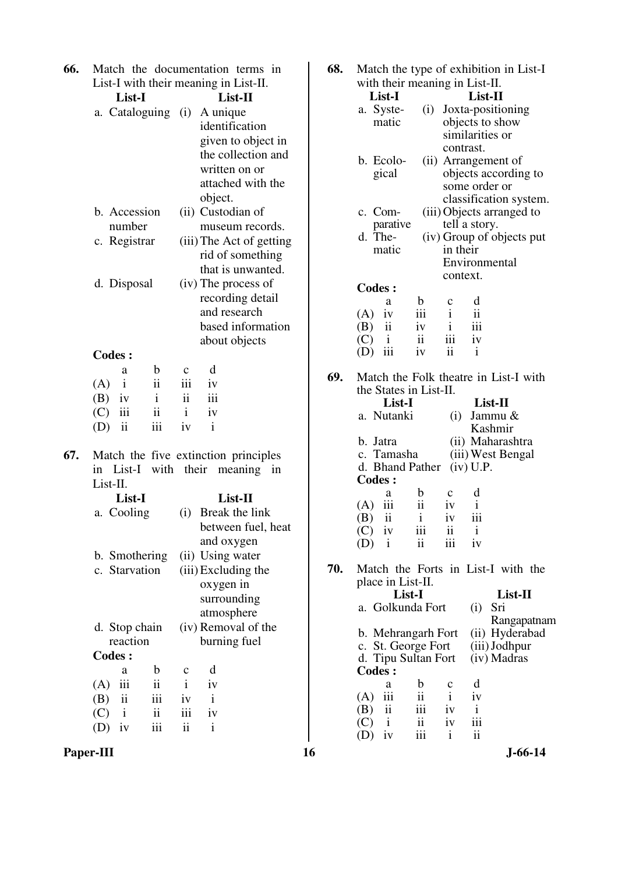| 66. |                                                 | Match the documentation terms in      | 68. | Match the type of exhibition in List-I                                                                            |
|-----|-------------------------------------------------|---------------------------------------|-----|-------------------------------------------------------------------------------------------------------------------|
|     |                                                 | List-I with their meaning in List-II. |     | with their meaning in List-II.                                                                                    |
|     | List-I                                          | List-II                               |     | List-I<br>List-II                                                                                                 |
|     | a. Cataloguing (i)                              | A unique                              |     | a. Syste-<br>(i) Joxta-positioning                                                                                |
|     |                                                 | identification                        |     | objects to show<br>matic                                                                                          |
|     |                                                 | given to object in                    |     | similarities or                                                                                                   |
|     |                                                 | the collection and                    |     | contrast.                                                                                                         |
|     |                                                 | written on or                         |     | b. Ecolo-<br>(ii) Arrangement of                                                                                  |
|     |                                                 | attached with the                     |     | objects according to<br>gical                                                                                     |
|     |                                                 | object.                               |     | some order or                                                                                                     |
|     | b. Accession                                    | (ii) Custodian of                     |     | classification system.<br>c. Com-<br>(iii) Objects arranged to                                                    |
|     | number                                          | museum records.                       |     | tell a story.<br>parative                                                                                         |
|     |                                                 |                                       |     | d. The-<br>(iv) Group of objects put                                                                              |
|     | c. Registrar                                    | (iii) The Act of getting              |     | in their<br>matic                                                                                                 |
|     |                                                 | rid of something                      |     | Environmental                                                                                                     |
|     |                                                 | that is unwanted.                     |     | context.                                                                                                          |
|     | d. Disposal                                     | (iv) The process of                   |     | <b>Codes:</b>                                                                                                     |
|     |                                                 | recording detail                      |     | d<br>b<br>$\mathbf C$<br>a                                                                                        |
|     |                                                 | and research                          |     | $\overline{\mathbf{u}}$<br>(A)<br>$\mathbf{i}$<br>iv<br>111                                                       |
|     |                                                 | based information                     |     | iii<br>(B)<br>$\mathbf{ii}$<br>$\mathbf{i}$<br>iv                                                                 |
|     |                                                 | about objects                         |     | iii<br>(C)<br>$\mathbf{i}$<br>$\overline{\mathbf{ii}}$<br>iv<br>iii<br>$\ddot{\mathbf{i}}$<br>(D)<br>$\mathbf{i}$ |
|     | <b>Codes:</b>                                   |                                       |     | iv                                                                                                                |
|     | $\mathbf b$<br>a                                | d<br>$\mathbf c$                      | 69. | Match the Folk theatre in List-I with                                                                             |
|     | $\overline{\textbf{ii}}$<br>$\mathbf{i}$<br>(A) | iii<br>iv                             |     | the States in List-II.                                                                                            |
|     | $\mathbf{i}$<br>(B)<br>iv                       | iii<br>$\ddot{\rm ii}$                |     | List-I<br>List-II                                                                                                 |
|     | $\mathbf{ii}$<br>iii<br>(C)                     | $\mathbf{i}$<br>iv                    |     | a. Nutanki<br>Jammu &<br>(i)                                                                                      |
|     | iii<br>ii<br>(D)                                | $\mathbf{i}$<br>iv                    |     | Kashmir                                                                                                           |
|     |                                                 |                                       |     | (ii) Maharashtra<br>b. Jatra                                                                                      |
| 67. |                                                 | Match the five extinction principles  |     | c. Tamasha<br>(iii) West Bengal                                                                                   |
|     |                                                 | in List-I with their meaning in       |     | d. Bhand Pather<br>$(iv)$ U.P.                                                                                    |
|     | List-II.                                        |                                       |     | <b>Codes:</b><br>$\mathbf b$<br>d<br>a                                                                            |
|     | List-I                                          | List-II                               |     | c<br>$\overline{\mathbf{ii}}$<br>iii<br>$\mathbf{i}$<br>(A)<br>iv                                                 |
|     | a. Cooling                                      | Break the link<br>(i)                 |     | $\mathbf{i}$<br>iii<br>ii<br>(B)<br>iv                                                                            |
|     |                                                 | between fuel, heat                    |     | iii<br>iv<br>(C)<br>11<br>1                                                                                       |
|     |                                                 | and oxygen                            |     | $\ddot{\rm n}$<br>iii<br>(D)<br>$\mathbf{i}$<br>iv                                                                |
|     | b. Smothering                                   | (ii) Using water                      |     |                                                                                                                   |
|     | c. Starvation                                   | (iii) Excluding the                   | 70. | Match the Forts in List-I with the                                                                                |
|     |                                                 | oxygen in                             |     | place in List-II.                                                                                                 |
|     |                                                 | surrounding                           |     | List-II<br>List-I                                                                                                 |
|     |                                                 | atmosphere                            |     | a. Golkunda Fort<br>Sri<br>(i)                                                                                    |
|     | d. Stop chain                                   | (iv) Removal of the                   |     | Rangapatnam                                                                                                       |
|     | reaction                                        | burning fuel                          |     | (ii) Hyderabad<br>b. Mehrangarh Fort<br>c. St. George Fort<br>(iii) Jodhpur                                       |
|     | <b>Codes:</b>                                   |                                       |     | (iv) Madras<br>d. Tipu Sultan Fort                                                                                |
|     | $\mathbf b$<br>a                                | d<br>$\mathbf c$                      |     | <b>Codes:</b>                                                                                                     |
|     | $\rm ii$<br>iii<br>(A)                          | $\mathbf{i}$<br>iv                    |     | d<br>$\mathbf b$<br>a<br>$\mathbf C$                                                                              |
|     | $\,$ iii<br>$\rm ii$<br>(B)                     | $\mathbf{i}$<br>iv                    |     | $\rm ii$<br>$\mathbf{i}$<br>(A)<br>iii<br>iv                                                                      |
|     | $\mathbf{ii}$<br>(C)<br>$\mathbf{i}$            | iii<br>iv                             |     | iii<br>$\overline{\mathbf{ii}}$<br>$\mathbf{i}$<br>(B)<br>iv                                                      |
|     | iii<br>(D)<br>iv                                | $\mathbf{ii}$<br>$\mathbf{i}$         |     | iii<br>$\overline{\mathbf{u}}$<br>(C)<br>iv<br>$\mathbf{i}$                                                       |
|     |                                                 |                                       |     | iii<br>$\overline{\textbf{ii}}$<br>$\mathbf{i}$<br>(D)<br>iv                                                      |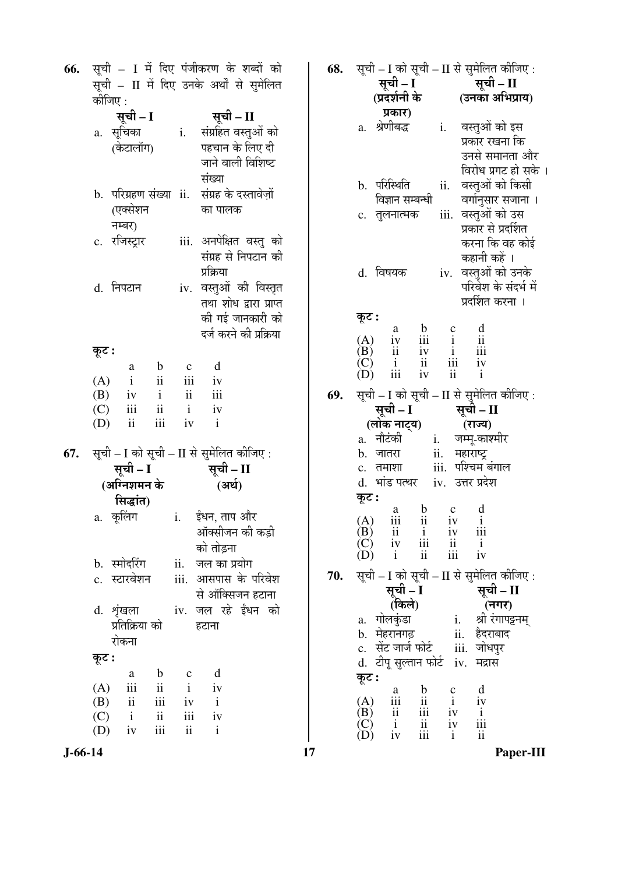| 66. | कीजिए :                                                                                                                               | सूची – I में दिए पंजीकरण के शब्दों को<br>सूची – II में दिए उनके अर्थों से सुमेलित |
|-----|---------------------------------------------------------------------------------------------------------------------------------------|-----------------------------------------------------------------------------------|
|     | सूची – I<br>a. सूचिका<br>(केटालॉग)                                                                                                    | सूची – II<br>i.<br>संग्रहित वस्तुओं को<br>पहचान के लिए दी<br>जाने वाली विशिष्ट    |
|     | (एक्सेशन<br>नम्बर)                                                                                                                    | संख्या<br>b. परिग्रहण संख्या ii. संग्रह के दस्तावेज़ों<br>का पालक                 |
|     | c. रजिस्ट्रार                                                                                                                         | iii. अनपेक्षित वस्तु को<br>संग्रह से निपटान की<br>प्रक्रिया                       |
|     | d. निपटान                                                                                                                             | iv. वस्तुओं की विस्तृत<br>तथा शोध द्वारा प्राप्त<br>की गई जानकारी को              |
|     |                                                                                                                                       | दर्ज करने की प्रक्रिया                                                            |
|     | कूट :<br>$\mathbf b$<br>a                                                                                                             | d<br>$\mathbf c$                                                                  |
|     | $\ddot{\mathbf{i}}$<br>(A)<br>$\mathbf{i}$<br>$\,\mathrm{i}$<br>(B)<br>iv<br>$(C)$ iii<br>$\overline{\mathbf{u}}$<br>ii<br>iii<br>(D) | iii<br>iv<br>$\rm ii$<br>iii<br>$\mathbf{i}$<br>iv<br>iv<br>$\mathbf{i}$          |
|     | 67. सूची – I को सूची – II से सुमेलित कीजिए:<br>सूची – I<br>(अग्निशमन के                                                               | सूची – II<br>(अर्थ)                                                               |
|     | सिद्धांत)<br>a. कूलिंग        i.   ईंधन, ताप और                                                                                       | ऑक्सीजन की कड़ी<br>को तोड़ना                                                      |
|     | b. स्मोदरिंग<br>c. स्टारवेशन                                                                                                          | ii. जल का प्रयोग<br>iii. आसपास के परिवेश<br>से ऑक्सिजन हटाना                      |
|     | d. शृंखला<br>प्रतिक्रिया को<br>रोकना                                                                                                  | iv. जल रहे ईंधन को<br>हटाना                                                       |
|     | कूट :                                                                                                                                 |                                                                                   |
|     | $\mathbf b$<br>a<br>iii<br>$\rm ii$<br>(A)                                                                                            | d<br>$\mathbf C$<br>$\mathbf{i}$<br>iv                                            |
|     | ii<br>iii<br>(B)                                                                                                                      | $\mathbf{i}$<br>iv                                                                |
|     | $(C)$ i<br>ii<br>$\,$ iii                                                                                                             | iii<br>iv<br>$\ddot{\rm{1}}\dot{\rm{1}}$<br>$\mathbf{i}$                          |
|     | $(D)$ iv                                                                                                                              |                                                                                   |

| 68. |                                                                                                                                                                                                                              | सूची – I को सूची – II से सुमेलित कीजिए :           |
|-----|------------------------------------------------------------------------------------------------------------------------------------------------------------------------------------------------------------------------------|----------------------------------------------------|
|     | सूची – I<br>(प्रदर्शनी के                                                                                                                                                                                                    | सूची – II                                          |
|     |                                                                                                                                                                                                                              | (उनका अभिप्राय)                                    |
|     | प्रकार)                                                                                                                                                                                                                      |                                                    |
|     | a. श्रेणीबद्ध                                                                                                                                                                                                                | i. वस्तुओं को इस                                   |
|     |                                                                                                                                                                                                                              | प्रकार रखना कि                                     |
|     |                                                                                                                                                                                                                              | उनसे समानता और                                     |
|     |                                                                                                                                                                                                                              | विरोध प्रगट हो सके ।                               |
|     | b. परिस्थिति<br>विज्ञान सम्बन्धी                                                                                                                                                                                             | वस्तुओं को किसी<br>ii.                             |
|     | c. तुलनात्मक                                                                                                                                                                                                                 | वर्गानुसार सजाना ।<br>iii. वस्तुओं को उस           |
|     |                                                                                                                                                                                                                              | प्रकार से प्रदर्शित                                |
|     |                                                                                                                                                                                                                              | करना कि वह कोई                                     |
|     |                                                                                                                                                                                                                              | कहानी कहें ।                                       |
|     | d. विषयक                                                                                                                                                                                                                     | वस्तुओं को उनके<br>iv.                             |
|     |                                                                                                                                                                                                                              | परिवेश के संदर्भ में                               |
|     |                                                                                                                                                                                                                              | प्रदर्शित करना ।                                   |
|     | कूट :                                                                                                                                                                                                                        |                                                    |
|     | $\begin{array}{c}\n\mathbf{b} \\ \mathbf{iii} \\ \mathbf{iv} \\ \mathbf{ii} \\ \mathbf{iv} \\ \mathbf{iv}\n\end{array}$<br>$\begin{array}{c}\na \\ iv \\ ii \\ i \\ \end{array}$                                             | $\begin{array}{c} c \\ i \\ i \\ iii \end{array}$  |
|     | $(A)$<br>$(B)$<br>$(C)$                                                                                                                                                                                                      |                                                    |
|     |                                                                                                                                                                                                                              | iv                                                 |
|     |                                                                                                                                                                                                                              | ii<br>$\mathbf{i}$                                 |
| 69. |                                                                                                                                                                                                                              | सूची – I को सूची – II से सुमेलित कीजिए :           |
|     | सूची – I<br>(लोक नाट्य)                                                                                                                                                                                                      | सूची – II                                          |
|     |                                                                                                                                                                                                                              | (राज्य)                                            |
|     | $a.$ ेनौटंकी ं                                                                                                                                                                                                               | i. जम्मू-काश्मीर                                   |
|     | b. जातरा                                                                                                                                                                                                                     | ii. महाराष्ट्र                                     |
|     | c. तमाशा                                                                                                                                                                                                                     | iii. पश्चिम बंगाल                                  |
|     | d. भांड पत्थर iv. उत्तर प्रदेश                                                                                                                                                                                               |                                                    |
|     | कूट :                                                                                                                                                                                                                        | $\mathbf C$                                        |
|     | $\frac{b}{i}$<br>a<br>(A)<br>iii                                                                                                                                                                                             | $\frac{d}{i}$<br>iv                                |
|     |                                                                                                                                                                                                                              |                                                    |
|     | (B) $\overrightarrow{ii}$ $\overrightarrow{i}$ iv<br>(C) $\overrightarrow{iv}$ $\overrightarrow{iii}$ $\overrightarrow{ii}$<br>(D) $\overrightarrow{i}$ $\overrightarrow{ii}$ $\overrightarrow{iii}$                         | $\frac{1}{\text{i}}\frac{1}{\text{i}}$             |
|     |                                                                                                                                                                                                                              |                                                    |
| 70. |                                                                                                                                                                                                                              | सूची – I को सूची – II से सुमेलित कीजिए :           |
|     | सूची – I<br>(किले)                                                                                                                                                                                                           |                                                    |
|     |                                                                                                                                                                                                                              | <b>ँ सूची – II</b><br>(नगर)<br>i. श्री रंगापट्टनम् |
|     | a. गोलकुंडा                                                                                                                                                                                                                  |                                                    |
|     | b. मेहरानगढ़<br>c. सेंट जार्ज फोर्ट . iii. जोधपुर                                                                                                                                                                            |                                                    |
|     | d. टीपू सुल्तान फोर्ट iv. मद्रास                                                                                                                                                                                             |                                                    |
|     | कूट :                                                                                                                                                                                                                        |                                                    |
|     |                                                                                                                                                                                                                              | $\mathbf d$                                        |
|     |                                                                                                                                                                                                                              | iv                                                 |
|     |                                                                                                                                                                                                                              |                                                    |
|     | (A) $\begin{array}{ccc} & a & b & c \\ (A) & \text{iii} & \text{ii} & \text{i} \\ (B) & \text{ii} & \text{iii} & \text{iv} \\ (C) & \text{i} & \text{ii} & \text{iv} \\ (D) & \text{iv} & \text{iii} & \text{i} \end{array}$ | $\frac{1}{11}$<br>$\frac{1}{11}$                   |
|     |                                                                                                                                                                                                                              | Paper-III                                          |

 $J - 66 - 14$ 

 $\overline{17}$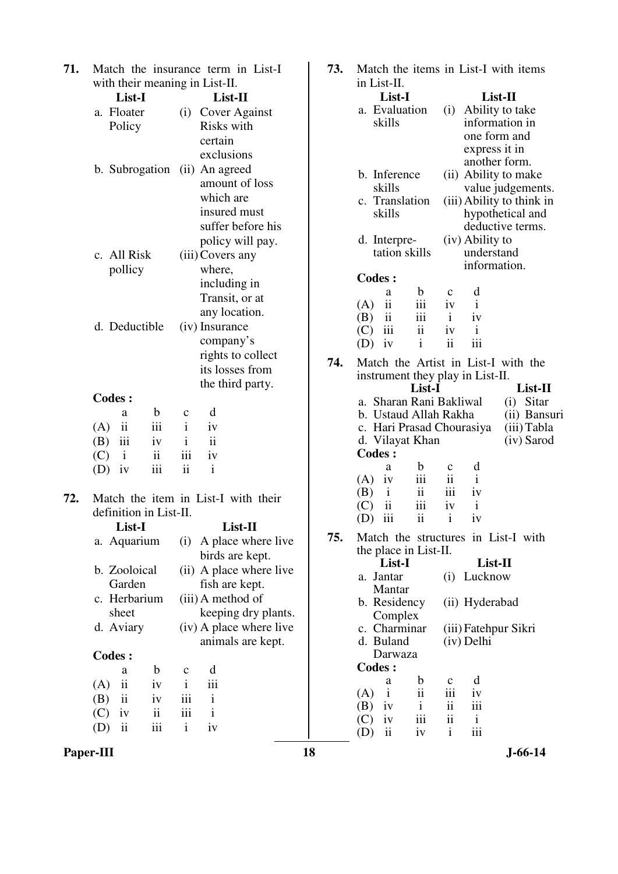| 71. |                                      | Match the insurance term in List-I. | 73. |                                                         | Match the items in List-I with items           |
|-----|--------------------------------------|-------------------------------------|-----|---------------------------------------------------------|------------------------------------------------|
|     | with their meaning in List-II.       |                                     |     | in List-II.                                             |                                                |
|     | List-I                               | List-II                             |     | List-I                                                  | List-II                                        |
|     | a. Floater                           | <b>Cover Against</b><br>(i)         |     | a. Evaluation                                           | Ability to take<br>(i)                         |
|     | Policy                               | Risks with                          |     | skills                                                  | information in                                 |
|     |                                      | certain                             |     |                                                         | one form and                                   |
|     |                                      | exclusions                          |     |                                                         | express it in                                  |
|     | b. Subrogation                       | (ii) An agreed                      |     | b. Inference                                            | another form.                                  |
|     |                                      | amount of loss                      |     | skills                                                  | (ii) Ability to make                           |
|     |                                      | which are                           |     | c. Translation                                          | value judgements.<br>(iii) Ability to think in |
|     |                                      | insured must                        |     | skills                                                  | hypothetical and                               |
|     |                                      | suffer before his                   |     |                                                         | deductive terms.                               |
|     |                                      | policy will pay.                    |     | d. Interpre-                                            | (iv) Ability to                                |
|     | c. All Risk                          | (iii) Covers any                    |     | tation skills                                           | understand                                     |
|     |                                      |                                     |     |                                                         | information.                                   |
|     | pollicy                              | where,                              |     | <b>Codes:</b>                                           |                                                |
|     |                                      | including in                        |     | $\mathbf b$<br>a                                        | d<br>$\mathbf c$                               |
|     |                                      | Transit, or at                      |     | $\overline{\mathbf{ii}}$<br>iii<br>(A)                  | 1V<br>$\bf{1}$                                 |
|     |                                      | any location.                       |     | ii<br>iii<br>(B)                                        | iv<br>$\mathbf{i}$                             |
|     | d. Deductible                        | (iv) Insurance                      |     | iii<br>$\rm ii$<br>(C)                                  | $\mathbf{i}$<br>iv                             |
|     |                                      | company's                           |     | $\mathbf{i}$<br>(D)<br>iv                               | ii<br>iii                                      |
|     |                                      | rights to collect                   | 74. |                                                         | Match the Artist in List-I with the            |
|     |                                      | its losses from                     |     | instrument they play in List-II.                        |                                                |
|     |                                      | the third party.                    |     | List-I                                                  | List-II                                        |
|     | <b>Codes:</b>                        |                                     |     | a. Sharan Rani Bakliwal                                 | $(i)$ Sitar                                    |
|     | $\mathbf b$<br>a                     | d<br>$\mathbf{C}$                   |     | b. Ustaud Allah Rakha                                   | (ii) Bansuri                                   |
|     | $\rm ii$<br>iii<br>(A)               | $\mathbf{i}$<br>iv                  |     | c. Hari Prasad Chourasiya                               | (iii) Tabla                                    |
|     | iii<br>(B)<br>iv                     | $\ddot{\rm ii}$<br>$\mathbf{i}$     |     | d. Vilayat Khan                                         | (iv) Sarod                                     |
|     | $\mathbf{ii}$<br>(C)<br>$\mathbf{i}$ | iii<br>iv                           |     | <b>Codes:</b>                                           |                                                |
|     | iii<br>(D)<br>iv                     | ii<br>$\mathbf{i}$                  |     | b<br>a                                                  | d<br>$\mathbf c$                               |
|     |                                      |                                     |     | iii<br>(A)<br>iv                                        | $\overline{\textbf{ii}}$<br>$\mathbf{i}$       |
| 72. |                                      | Match the item in List-I with their |     | $\mathbf{ii}$<br>(B)<br>$\mathbf{i}$                    | iii<br>iv                                      |
|     | definition in List-II.               |                                     |     | $\overline{\mathbf{ii}}$<br>iii<br>(C)<br>$\mathbf{ii}$ | $\mathbf{i}$<br>iv                             |
|     | List-I                               | List-II                             |     | iii<br>(D)                                              | $\mathbf{i}$<br>iv                             |
|     | a. Aquarium                          | (i) A place where live              | 75. |                                                         | Match the structures in List-I with            |
|     |                                      | birds are kept.                     |     | the place in List-II.                                   |                                                |
|     | b. Zooloical                         | (ii) A place where live             |     | List-I                                                  | List-II                                        |
|     | Garden                               | fish are kept.                      |     | a. Jantar                                               | (i) Lucknow                                    |
|     | c. Herbarium                         | (iii) A method of                   |     | Mantar                                                  |                                                |
|     | sheet                                | keeping dry plants.                 |     | b. Residency                                            | (ii) Hyderabad                                 |
|     | d. Aviary                            | (iv) A place where live             |     | Complex                                                 |                                                |
|     |                                      |                                     |     | c. Charminar<br>d. Buland                               | (iii) Fatehpur Sikri                           |
|     |                                      | animals are kept.                   |     | Darwaza                                                 | (iv) Delhi                                     |
|     | <b>Codes:</b>                        |                                     |     | <b>Codes:</b>                                           |                                                |
|     | $\mathbf b$<br>a                     | d<br>$\mathbf c$                    |     | b<br>a                                                  | d<br>$\mathbf c$                               |
|     | (A)<br>$\overline{\mathbf{u}}$<br>iv | iii<br>$\mathbf{i}$                 |     | ii<br>(A)<br>$\mathbf{i}$                               | iii<br>iv                                      |
|     | ii<br>(B)<br>iv                      | iii<br>$\rm i$                      |     | (B)<br>iv<br>$\mathbf{i}$                               | $\ddot{\rm n}$<br>111                          |
|     | (C)<br>$\mathbf{ii}$<br>iv           | iii<br>$\mathbf{i}$                 |     | iii<br>(C)<br>iv                                        | $\ddot{\rm n}$<br>$\mathbf{i}$                 |
|     | iii<br>$\rm ii$<br>(D)               | $\mathbf{i}$<br>iv                  |     | ii<br>iv<br>(D)                                         | $\mathbf{i}$<br>iii                            |
|     |                                      |                                     |     |                                                         |                                                |

**Paper-III** 18 J-66-14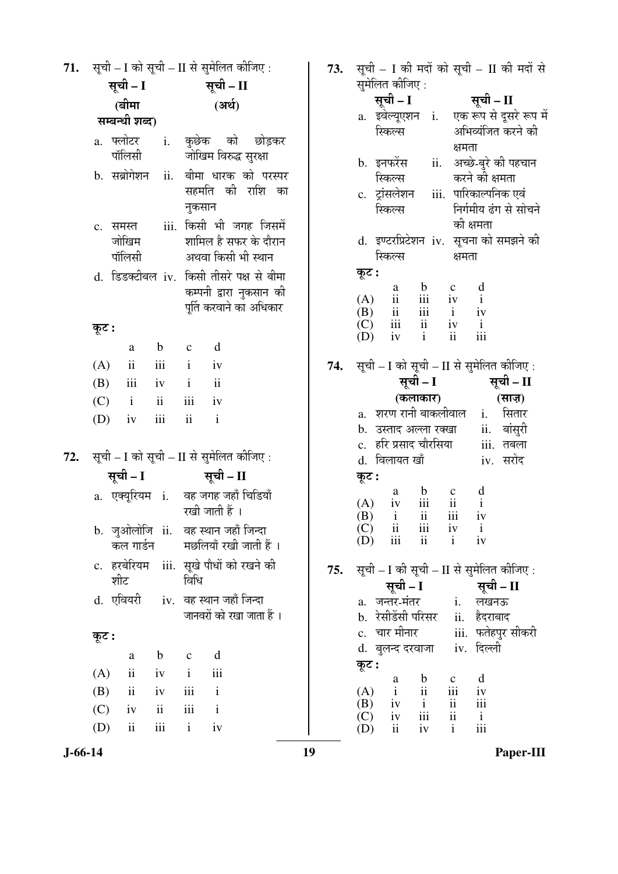| 71. | सूची – I को सूची – II से सुमेलित कीजिए :<br>सूची – I<br>सूची - II |                         |             |                | 73.                                                                                            | सूची – I की मदों को सूची – II की मदों से<br>सुमेलित कीजिए: |                                                                                                                                                    |  |
|-----|-------------------------------------------------------------------|-------------------------|-------------|----------------|------------------------------------------------------------------------------------------------|------------------------------------------------------------|----------------------------------------------------------------------------------------------------------------------------------------------------|--|
|     |                                                                   |                         |             |                |                                                                                                | सूची – I                                                   |                                                                                                                                                    |  |
|     |                                                                   | (बीमा                   |             |                | (अर्थ)                                                                                         |                                                            | सूची – II<br>एक रूप से दूसरे रूप में<br>a. इवेल्यूएशन i.                                                                                           |  |
|     |                                                                   | सम्बन्धी शब्द)          |             |                |                                                                                                |                                                            | अभिव्यंजित करने की<br>स्किल्स                                                                                                                      |  |
|     | a. फ्लोटर                                                         | पॉलिसी                  | i.          |                | कुछेक को<br>छोड़कर<br>जोखिम विरुद्ध सुरक्षा                                                    |                                                            | क्षमता<br>अच्छे-बुरे की पहचान<br>ii.<br>b. इनफरेंस                                                                                                 |  |
|     |                                                                   | b. सब्रोगेशन            | ii.         | नुकसान         | बीमा धारक को परस्पर<br>सहमति की राशि का                                                        |                                                            | स्किल्स<br>करने की क्षमता<br>iii. पारिकाल्पनिक एवं<br>c. ट्रांसलेशन<br>निर्गमीय ढंग से सोचने<br>स्किल्स                                            |  |
|     | c. समस्त                                                          | जोखिम<br>पॉलिसी         |             |                | iii. किसी भी जगह जिसमें<br>शामिल है सफर के दौरान<br>अथवा किसी भी स्थान                         |                                                            | की क्षमता<br>d. इण्टरप्रिटेशन iv. सूचना को समझने की<br>स्किल्स<br>क्षमता                                                                           |  |
|     |                                                                   |                         |             |                | d. डिडक्टीबल iv. किसी तीसरे पक्ष से बीमा<br>कम्पनी द्वारा नुकसान की<br>पूर्ति करवाने का अधिकार |                                                            | कूट :<br>d<br>$\mathbf b$<br>$\mathbf c$<br>a<br>iii<br>ii<br>$\mathbf{i}$<br>(A)<br>iv<br>iii<br>(B)<br>$\ddot{\mathbf{i}}$<br>$\mathbf{i}$<br>iv |  |
|     | कूट :                                                             |                         |             |                |                                                                                                |                                                            | iii<br>ii<br>$\mathbf{i}$<br>(C)<br>iv<br>iii<br>$\mathbf{ii}$<br>$\mathbf{i}$<br>(D)<br>iv                                                        |  |
|     |                                                                   | a                       | $\mathbf b$ | $\mathbf c$    | d                                                                                              |                                                            |                                                                                                                                                    |  |
|     | (A)                                                               | $\overline{\mathbf{1}}$ | iii         | $\mathbf{i}$   | iv                                                                                             | 74.                                                        | सूची – I को सूची – II से सुमेलित कीजिए :                                                                                                           |  |
|     | (B)                                                               | iii                     | iv          | $\mathbf{i}$   | $\ddot{\mathbf{i}}$                                                                            |                                                            | सूची – II<br>सूची – I                                                                                                                              |  |
|     | (C)                                                               | $\mathbf{i}$            | ii          | iii            | iv                                                                                             |                                                            | (कलाकार)<br>(साज़)                                                                                                                                 |  |
|     | (D)                                                               | iv                      | iii         | $\ddot{\rm n}$ | $\mathbf{i}$                                                                                   |                                                            | a. शरण रानी बाकलीवाल<br>i. सितार                                                                                                                   |  |
|     |                                                                   |                         |             |                |                                                                                                |                                                            | बांसुरी<br>b. उस्ताद अल्ला रक्खा<br>ii.<br>c.   हरि प्रसाद चौरसिया<br>iii. तबला                                                                    |  |
| 72. |                                                                   |                         |             |                | सूची - I को सूची - II से सुमेलित कीजिए:                                                        |                                                            | d. विलायत खाँ<br>iv. सरोद                                                                                                                          |  |
|     |                                                                   | सूची – I                |             |                | सूची – II                                                                                      |                                                            | कूट :                                                                                                                                              |  |
|     |                                                                   | a. एक्यूरियम i.         |             |                | वह जगह जहाँ चिडियाँ<br>रखी जाती हैं ।                                                          |                                                            | $\frac{d}{i}$<br>$\begin{matrix} b & c \\ ii & ii \end{matrix}$<br>a<br>iv<br>(A)<br>iii<br>ii<br>(B)<br>$\mathbf{i}$<br>iv                        |  |
|     |                                                                   | कल गार्डन               |             |                | b. जुओलोजि ii. वह स्थान जहाँ जिन्दा<br>मछलियाँ रखी जाती हैं ।                                  |                                                            | $\rm iii$<br>ii<br>(C)<br>iv<br>$\mathbf{i}$<br>ii<br>$\mathbf{i}$<br>iii<br>iv<br>(D)                                                             |  |
|     |                                                                   | शीट                     |             | विधि           | c. हरबेरियम iii. सूखे पौधों को रखने की                                                         | 75.                                                        | सूची - I की सूची - II से सुमेलित कीजिए:<br>सूची – I<br>सूची – II                                                                                   |  |
|     |                                                                   | d. एवियरी               |             |                | iv. वह स्थान जहाँ जिन्दा<br>जानवरों को रखा जाता हैं ।                                          |                                                            | <u>i. लखनऊ</u><br>a. जन्तर-मंतर<br>b. रेसीडेंसी परिसर<br>ii. हैदराबाद                                                                              |  |
|     | कूट :                                                             |                         |             |                |                                                                                                |                                                            | c. चार मीनार<br>iii.  फतेहपुर सीकरी                                                                                                                |  |
|     |                                                                   | a                       | $\mathbf b$ | $\mathbf c$    | d                                                                                              |                                                            | d. बुलन्द दरवाजा iv. दिल्ली                                                                                                                        |  |
|     | (A)                                                               | $\overline{\mathbf{u}}$ | iv          | $\mathbf{i}$   | iii                                                                                            |                                                            | कूट :                                                                                                                                              |  |
|     | (B)                                                               | $\overline{\mathbf{u}}$ | iv          | iii            | $\mathbf{i}$                                                                                   |                                                            | d<br>$\mathbf b$<br>$\mathbf c$<br>a<br>ii<br>$\mathbf{i}$<br>iii<br>(A)<br>iv                                                                     |  |
|     | (C)                                                               | iv                      | ii          | $\rm iii$      | $\mathbf{i}$                                                                                   |                                                            | iii<br>$\mathbf{i}$<br>$\mathbf{ii}$<br>(B)<br>iv                                                                                                  |  |
|     | (D)                                                               | $\mathbf{ii}$           | iii         | $\mathbf{i}$   | iv                                                                                             |                                                            | iii<br>$\mathbf{ii}$<br>(C)<br>iv<br>$\mathbf{i}$<br>ii<br>iii<br>$\mathbf{i}$<br>iv<br>(D)                                                        |  |

Paper-III